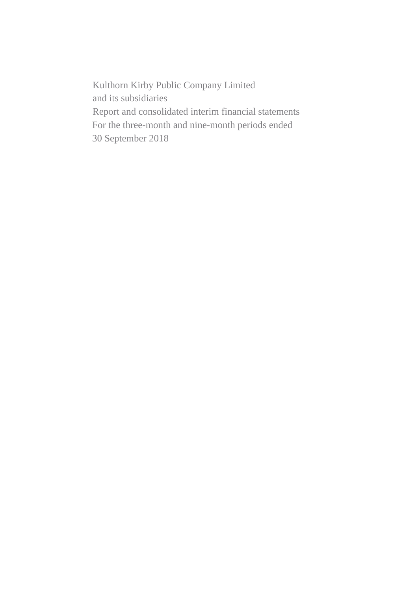Kulthorn Kirby Public Company Limited and its subsidiaries Report and consolidated interim financial statements For the three-month and nine-month periods ended 30 September 2018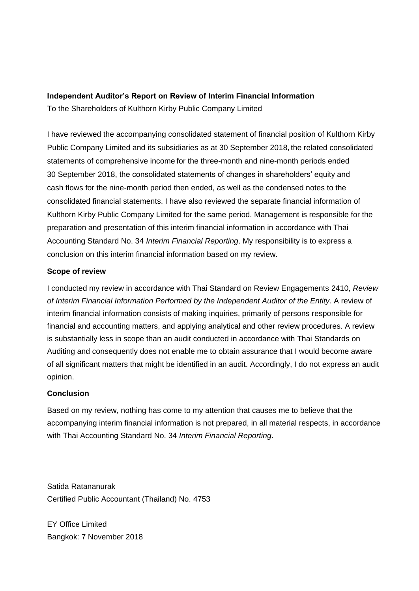# **Independent Auditor's Report on Review of Interim Financial Information**

To the Shareholders of Kulthorn Kirby Public Company Limited

I have reviewed the accompanying consolidated statement of financial position of Kulthorn Kirby Public Company Limited and its subsidiaries as at 30 September 2018, the related consolidated statements of comprehensive income for the three-month and nine-month periods ended 30 September 2018, the consolidated statements of changes in shareholders' equity and cash flows for the nine-month period then ended, as well as the condensed notes to the consolidated financial statements. I have also reviewed the separate financial information of Kulthorn Kirby Public Company Limited for the same period. Management is responsible for the preparation and presentation of this interim financial information in accordance with Thai Accounting Standard No. 34 *Interim Financial Reporting*. My responsibility is to express a conclusion on this interim financial information based on my review.

## **Scope of review**

I conducted my review in accordance with Thai Standard on Review Engagements 2410, *Review of Interim Financial Information Performed by the Independent Auditor of the Entity*. A review of interim financial information consists of making inquiries, primarily of persons responsible for financial and accounting matters, and applying analytical and other review procedures. A review is substantially less in scope than an audit conducted in accordance with Thai Standards on Auditing and consequently does not enable me to obtain assurance that I would become aware of all significant matters that might be identified in an audit. Accordingly, I do not express an audit opinion.

## **Conclusion**

Based on my review, nothing has come to my attention that causes me to believe that the accompanying interim financial information is not prepared, in all material respects, in accordance with Thai Accounting Standard No. 34 *Interim Financial Reporting*.

Satida Ratananurak Certified Public Accountant (Thailand) No. 4753

EY Office Limited Bangkok: 7 November 2018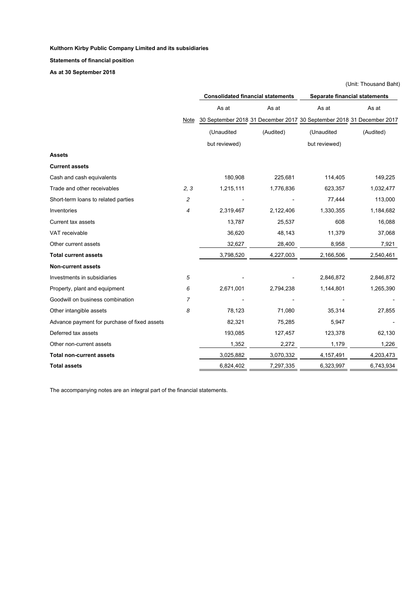**Statements of financial position**

**As at 30 September 2018**

|                                              |                | <b>Consolidated financial statements</b> |           | Separate financial statements                                         |           |
|----------------------------------------------|----------------|------------------------------------------|-----------|-----------------------------------------------------------------------|-----------|
|                                              |                | As at                                    | As at     | As at                                                                 | As at     |
|                                              | Note           |                                          |           | 30 September 2018 31 December 2017 30 September 2018 31 December 2017 |           |
|                                              |                | (Unaudited                               | (Audited) | (Unaudited                                                            | (Audited) |
|                                              |                | but reviewed)                            |           | but reviewed)                                                         |           |
| Assets                                       |                |                                          |           |                                                                       |           |
| <b>Current assets</b>                        |                |                                          |           |                                                                       |           |
| Cash and cash equivalents                    |                | 180,908                                  | 225,681   | 114,405                                                               | 149,225   |
| Trade and other receivables                  | 2, 3           | 1,215,111                                | 1,776,836 | 623,357                                                               | 1,032,477 |
| Short-term loans to related parties          | 2              |                                          |           | 77,444                                                                | 113,000   |
| Inventories                                  | $\overline{4}$ | 2,319,467                                | 2,122,406 | 1,330,355                                                             | 1,184,682 |
| <b>Current tax assets</b>                    |                | 13,787                                   | 25,537    | 608                                                                   | 16,088    |
| VAT receivable                               |                | 36,620                                   | 48,143    | 11,379                                                                | 37,068    |
| Other current assets                         |                | 32,627                                   | 28,400    | 8,958                                                                 | 7,921     |
| <b>Total current assets</b>                  |                | 3,798,520                                | 4,227,003 | 2,166,506                                                             | 2,540,461 |
| <b>Non-current assets</b>                    |                |                                          |           |                                                                       |           |
| Investments in subsidiaries                  | 5              |                                          |           | 2,846,872                                                             | 2,846,872 |
| Property, plant and equipment                | 6              | 2,671,001                                | 2,794,238 | 1,144,801                                                             | 1,265,390 |
| Goodwill on business combination             | 7              |                                          |           |                                                                       |           |
| Other intangible assets                      | 8              | 78,123                                   | 71,080    | 35,314                                                                | 27,855    |
| Advance payment for purchase of fixed assets |                | 82,321                                   | 75,285    | 5,947                                                                 |           |
| Deferred tax assets                          |                | 193,085                                  | 127,457   | 123,378                                                               | 62,130    |
| Other non-current assets                     |                | 1,352                                    | 2,272     | 1,179                                                                 | 1,226     |
| <b>Total non-current assets</b>              |                | 3,025,882                                | 3,070,332 | 4,157,491                                                             | 4,203,473 |
| <b>Total assets</b>                          |                | 6,824,402                                | 7,297,335 | 6,323,997                                                             | 6,743,934 |

(Unit: Thousand Baht)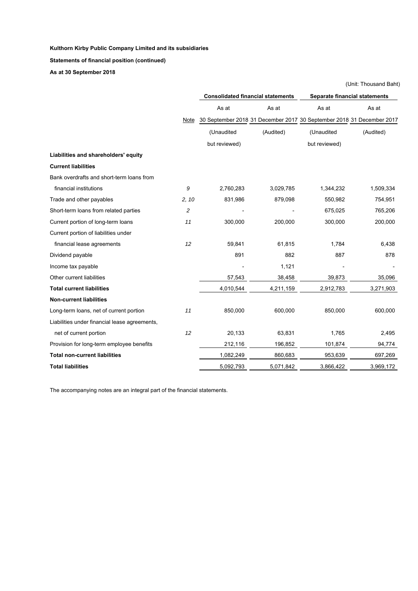**Statements of financial position (continued)**

**As at 30 September 2018**

|                                               |       | <b>Consolidated financial statements</b> |           | Separate financial statements                                         |           |  |
|-----------------------------------------------|-------|------------------------------------------|-----------|-----------------------------------------------------------------------|-----------|--|
|                                               |       | As at                                    | As at     | As at                                                                 | As at     |  |
|                                               | Note  |                                          |           | 30 September 2018 31 December 2017 30 September 2018 31 December 2017 |           |  |
|                                               |       | (Unaudited                               | (Audited) | (Unaudited                                                            | (Audited) |  |
|                                               |       | but reviewed)                            |           | but reviewed)                                                         |           |  |
| Liabilities and shareholders' equity          |       |                                          |           |                                                                       |           |  |
| <b>Current liabilities</b>                    |       |                                          |           |                                                                       |           |  |
| Bank overdrafts and short-term loans from     |       |                                          |           |                                                                       |           |  |
| financial institutions                        | 9     | 2,760,283                                | 3,029,785 | 1,344,232                                                             | 1,509,334 |  |
| Trade and other payables                      | 2, 10 | 831,986                                  | 879,098   | 550,982                                                               | 754,951   |  |
| Short-term loans from related parties         | 2     |                                          |           | 675,025                                                               | 765,206   |  |
| Current portion of long-term loans            | 11    | 300,000                                  | 200,000   | 300,000                                                               | 200,000   |  |
| Current portion of liabilities under          |       |                                          |           |                                                                       |           |  |
| financial lease agreements                    | 12    | 59,841                                   | 61,815    | 1,784                                                                 | 6,438     |  |
| Dividend payable                              |       | 891                                      | 882       | 887                                                                   | 878       |  |
| Income tax payable                            |       |                                          | 1,121     |                                                                       |           |  |
| Other current liabilities                     |       | 57,543                                   | 38,458    | 39,873                                                                | 35,096    |  |
| <b>Total current liabilities</b>              |       | 4,010,544                                | 4,211,159 | 2,912,783                                                             | 3,271,903 |  |
| <b>Non-current liabilities</b>                |       |                                          |           |                                                                       |           |  |
| Long-term loans, net of current portion       | 11    | 850,000                                  | 600,000   | 850,000                                                               | 600,000   |  |
| Liabilities under financial lease agreements, |       |                                          |           |                                                                       |           |  |
| net of current portion                        | 12    | 20,133                                   | 63,831    | 1,765                                                                 | 2,495     |  |
| Provision for long-term employee benefits     |       | 212,116                                  | 196,852   | 101,874                                                               | 94,774    |  |
| <b>Total non-current liabilities</b>          |       | 1,082,249                                | 860,683   | 953,639                                                               | 697,269   |  |
| <b>Total liabilities</b>                      |       | 5,092,793                                | 5,071,842 | 3,866,422                                                             | 3,969,172 |  |

(Unit: Thousand Baht)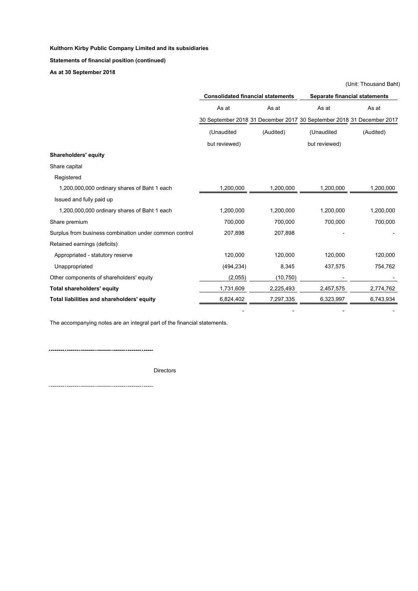**Statements of financial position (continued)**

**As at 30 September 2018**

|                                                        | <b>Consolidated financial statements</b> |           | Separate financial statements                                         |           |  |
|--------------------------------------------------------|------------------------------------------|-----------|-----------------------------------------------------------------------|-----------|--|
|                                                        | As at                                    | As at     | As at                                                                 | As at     |  |
|                                                        |                                          |           | 30 September 2018 31 December 2017 30 September 2018 31 December 2017 |           |  |
|                                                        | (Unaudited                               | (Audited) | (Unaudited                                                            | (Audited) |  |
|                                                        | but reviewed)                            |           | but reviewed)                                                         |           |  |
| <b>Shareholders' equity</b>                            |                                          |           |                                                                       |           |  |
| Share capital                                          |                                          |           |                                                                       |           |  |
| Registered                                             |                                          |           |                                                                       |           |  |
| 1,200,000,000 ordinary shares of Baht 1 each           | 1,200,000                                | 1,200,000 | 1,200,000                                                             | 1,200,000 |  |
| Issued and fully paid up                               |                                          |           |                                                                       |           |  |
| 1,200,000,000 ordinary shares of Baht 1 each           | 1,200,000                                | 1,200,000 | 1,200,000                                                             | 1,200,000 |  |
| Share premium                                          | 700,000                                  | 700,000   | 700,000                                                               | 700,000   |  |
| Surplus from business combination under common control | 207,898                                  | 207,898   |                                                                       |           |  |
| Retained earnings (deficits)                           |                                          |           |                                                                       |           |  |
| Appropriated - statutory reserve                       | 120,000                                  | 120,000   | 120,000                                                               | 120,000   |  |
| Unappropriated                                         | (494, 234)                               | 8,345     | 437,575                                                               | 754,762   |  |
| Other components of shareholders' equity               | (2,055)                                  | (10, 750) |                                                                       |           |  |
| <b>Total shareholders' equity</b>                      | 1,731,609                                | 2,225,493 | 2,457,575                                                             | 2,774,762 |  |
| Total liabilities and shareholders' equity             | 6,824,402                                | 7,297,335 | 6,323,997                                                             | 6,743,934 |  |

- - - -

(Unit: Thousand Baht)

The accompanying notes are an integral part of the financial statements.

Directors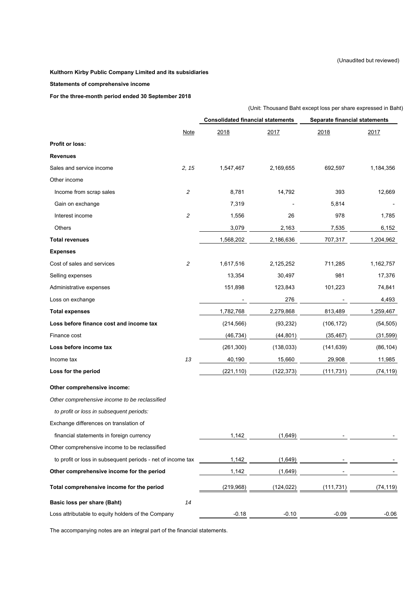#### (Unaudited but reviewed)

#### **Kulthorn Kirby Public Company Limited and its subsidiaries**

#### **Statements of comprehensive income**

**For the three-month period ended 30 September 2018**

|                                                             | (Unit: Thousand Baht except loss per share expressed in Baht) |                                                                           |            |            |           |  |  |
|-------------------------------------------------------------|---------------------------------------------------------------|---------------------------------------------------------------------------|------------|------------|-----------|--|--|
|                                                             |                                                               | <b>Consolidated financial statements</b><br>Separate financial statements |            |            |           |  |  |
|                                                             | <b>Note</b>                                                   | 2018                                                                      | 2017       | 2018       | 2017      |  |  |
| <b>Profit or loss:</b>                                      |                                                               |                                                                           |            |            |           |  |  |
| <b>Revenues</b>                                             |                                                               |                                                                           |            |            |           |  |  |
| Sales and service income                                    | 2, 15                                                         | 1,547,467                                                                 | 2,169,655  | 692,597    | 1,184,356 |  |  |
| Other income                                                |                                                               |                                                                           |            |            |           |  |  |
| Income from scrap sales                                     | $\sqrt{2}$                                                    | 8,781                                                                     | 14,792     | 393        | 12,669    |  |  |
| Gain on exchange                                            |                                                               | 7,319                                                                     |            | 5,814      |           |  |  |
| Interest income                                             | $\sqrt{2}$                                                    | 1,556                                                                     | 26         | 978        | 1,785     |  |  |
| Others                                                      |                                                               | 3,079                                                                     | 2,163      | 7,535      | 6,152     |  |  |
| <b>Total revenues</b>                                       |                                                               | 1,568,202                                                                 | 2,186,636  | 707,317    | 1,204,962 |  |  |
| <b>Expenses</b>                                             |                                                               |                                                                           |            |            |           |  |  |
| Cost of sales and services                                  | $\overline{c}$                                                | 1,617,516                                                                 | 2,125,252  | 711,285    | 1,162,757 |  |  |
| Selling expenses                                            |                                                               | 13,354                                                                    | 30,497     | 981        | 17,376    |  |  |
| Administrative expenses                                     |                                                               | 151,898                                                                   | 123,843    | 101,223    | 74,841    |  |  |
| Loss on exchange                                            |                                                               |                                                                           | 276        |            | 4,493     |  |  |
| <b>Total expenses</b>                                       |                                                               | 1,782,768                                                                 | 2,279,868  | 813,489    | 1,259,467 |  |  |
| Loss before finance cost and income tax                     |                                                               | (214, 566)                                                                | (93, 232)  | (106, 172) | (54, 505) |  |  |
| Finance cost                                                |                                                               | (46, 734)                                                                 | (44, 801)  | (35, 467)  | (31, 599) |  |  |
| Loss before income tax                                      |                                                               | (261, 300)                                                                | (138, 033) | (141, 639) | (86, 104) |  |  |
| Income tax                                                  | 13                                                            | 40,190                                                                    | 15,660     | 29,908     | 11,985    |  |  |
| Loss for the period                                         |                                                               | (221, 110)                                                                | (122, 373) | (111, 731) | (74, 119) |  |  |
| Other comprehensive income:                                 |                                                               |                                                                           |            |            |           |  |  |
| Other comprehensive income to be reclassified               |                                                               |                                                                           |            |            |           |  |  |
| to profit or loss in subsequent periods:                    |                                                               |                                                                           |            |            |           |  |  |
| Exchange differences on translation of                      |                                                               |                                                                           |            |            |           |  |  |
| financial statements in foreign currency                    |                                                               | 1,142                                                                     | (1,649)    |            |           |  |  |
| Other comprehensive income to be reclassified               |                                                               |                                                                           |            |            |           |  |  |
| to profit or loss in subsequent periods - net of income tax |                                                               | 1,142                                                                     | (1,649)    |            |           |  |  |
| Other comprehensive income for the period                   |                                                               | 1,142                                                                     | (1,649)    |            |           |  |  |
| Total comprehensive income for the period                   |                                                               | (219, 968)                                                                | (124, 022) | (111, 731) | (74, 119) |  |  |
| Basic loss per share (Baht)                                 | 14                                                            |                                                                           |            |            |           |  |  |
| Loss attributable to equity holders of the Company          |                                                               | $-0.18$                                                                   | $-0.10$    | $-0.09$    | $-0.06$   |  |  |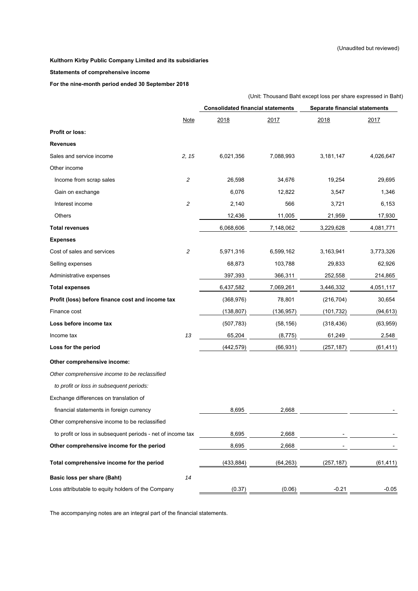#### **Statements of comprehensive income**

**For the nine-month period ended 30 September 2018**

|                                                             | (Unit: Thousand Baht except loss per share expressed in Baht) |                                          |            |                               |           |  |  |
|-------------------------------------------------------------|---------------------------------------------------------------|------------------------------------------|------------|-------------------------------|-----------|--|--|
|                                                             |                                                               | <b>Consolidated financial statements</b> |            | Separate financial statements |           |  |  |
|                                                             | <b>Note</b>                                                   | 2018                                     | 2017       | 2018                          | 2017      |  |  |
| <b>Profit or loss:</b>                                      |                                                               |                                          |            |                               |           |  |  |
| <b>Revenues</b>                                             |                                                               |                                          |            |                               |           |  |  |
| Sales and service income                                    | 2, 15                                                         | 6,021,356                                | 7,088,993  | 3,181,147                     | 4,026,647 |  |  |
| Other income                                                |                                                               |                                          |            |                               |           |  |  |
| Income from scrap sales                                     | $\sqrt{2}$                                                    | 26,598                                   | 34,676     | 19,254                        | 29,695    |  |  |
| Gain on exchange                                            |                                                               | 6,076                                    | 12,822     | 3,547                         | 1,346     |  |  |
| Interest income                                             | $\sqrt{2}$                                                    | 2,140                                    | 566        | 3,721                         | 6,153     |  |  |
| Others                                                      |                                                               | 12,436                                   | 11,005     | 21,959                        | 17,930    |  |  |
| <b>Total revenues</b>                                       |                                                               | 6,068,606                                | 7,148,062  | 3,229,628                     | 4,081,771 |  |  |
| <b>Expenses</b>                                             |                                                               |                                          |            |                               |           |  |  |
| Cost of sales and services                                  | $\overline{c}$                                                | 5,971,316                                | 6,599,162  | 3,163,941                     | 3,773,326 |  |  |
| Selling expenses                                            |                                                               | 68,873                                   | 103,788    | 29,833                        | 62,926    |  |  |
| Administrative expenses                                     |                                                               | 397,393                                  | 366,311    | 252,558                       | 214,865   |  |  |
| <b>Total expenses</b>                                       |                                                               | 6,437,582                                | 7,069,261  | 3,446,332                     | 4,051,117 |  |  |
| Profit (loss) before finance cost and income tax            |                                                               | (368, 976)                               | 78,801     | (216, 704)                    | 30,654    |  |  |
| Finance cost                                                |                                                               | (138, 807)                               | (136, 957) | (101, 732)                    | (94, 613) |  |  |
| Loss before income tax                                      |                                                               | (507, 783)                               | (58, 156)  | (318, 436)                    | (63, 959) |  |  |
| Income tax                                                  | 13                                                            | 65,204                                   | (8, 775)   | 61,249                        | 2,548     |  |  |
| Loss for the period                                         |                                                               | (442, 579)                               | (66, 931)  | (257, 187)                    | (61, 411) |  |  |
| Other comprehensive income:                                 |                                                               |                                          |            |                               |           |  |  |
| Other comprehensive income to be reclassified               |                                                               |                                          |            |                               |           |  |  |
| to profit or loss in subsequent periods:                    |                                                               |                                          |            |                               |           |  |  |
| Exchange differences on translation of                      |                                                               |                                          |            |                               |           |  |  |
| financial statements in foreign currency                    |                                                               | 8,695                                    | 2,668      |                               |           |  |  |
| Other comprehensive income to be reclassified               |                                                               |                                          |            |                               |           |  |  |
| to profit or loss in subsequent periods - net of income tax |                                                               | 8,695                                    | 2,668      |                               |           |  |  |
| Other comprehensive income for the period                   |                                                               | 8,695                                    | 2,668      |                               |           |  |  |
| Total comprehensive income for the period                   |                                                               | (433, 884)                               | (64, 263)  | (257, 187)                    | (61, 411) |  |  |
| Basic loss per share (Baht)                                 | 14                                                            |                                          |            |                               |           |  |  |
| Loss attributable to equity holders of the Company          |                                                               | (0.37)                                   | (0.06)     | $-0.21$                       | $-0.05$   |  |  |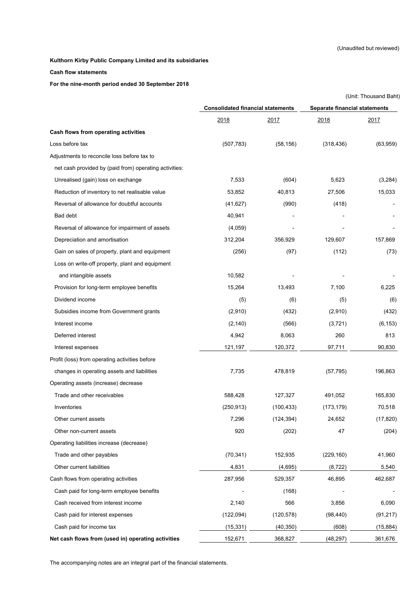#### **Cash flow statements**

#### **For the nine-month period ended 30 September 2018**

|                                                        |                                          |            | (Unit: Thousand Baht)         |           |  |
|--------------------------------------------------------|------------------------------------------|------------|-------------------------------|-----------|--|
|                                                        | <b>Consolidated financial statements</b> |            | Separate financial statements |           |  |
|                                                        | 2018                                     | 2017       | 2018                          | 2017      |  |
| Cash flows from operating activities                   |                                          |            |                               |           |  |
| Loss before tax                                        | (507, 783)                               | (58, 156)  | (318, 436)                    | (63,959)  |  |
| Adjustments to reconcile loss before tax to            |                                          |            |                               |           |  |
| net cash provided by (paid from) operating activities: |                                          |            |                               |           |  |
| Unrealised (gain) loss on exchange                     | 7,533                                    | (604)      | 5,623                         | (3,284)   |  |
| Reduction of inventory to net realisable value         | 53,852                                   | 40,813     | 27,506                        | 15,033    |  |
| Reversal of allowance for doubtful accounts            | (41, 627)                                | (990)      | (418)                         |           |  |
| Bad debt                                               | 40,941                                   |            |                               |           |  |
| Reversal of allowance for impairment of assets         | (4,059)                                  |            |                               |           |  |
| Depreciation and amortisation                          | 312,204                                  | 356,929    | 129,607                       | 157,869   |  |
| Gain on sales of property, plant and equipment         | (256)                                    | (97)       | (112)                         | (73)      |  |
| Loss on write-off property, plant and equipment        |                                          |            |                               |           |  |
| and intangible assets                                  | 10,582                                   |            |                               |           |  |
| Provision for long-term employee benefits              | 15,264                                   | 13,493     | 7,100                         | 6,225     |  |
| Dividend income                                        | (5)                                      | (6)        | (5)                           | (6)       |  |
| Subsidies income from Government grants                | (2,910)                                  | (432)      | (2,910)                       | (432)     |  |
| Interest income                                        | (2, 140)                                 | (566)      | (3,721)                       | (6, 153)  |  |
| Deferred interest                                      | 4,942                                    | 8,063      | 260                           | 813       |  |
| Interest expenses                                      | 121,197                                  | 120,372    | 97,711                        | 90,830    |  |
| Profit (loss) from operating activities before         |                                          |            |                               |           |  |
| changes in operating assets and liabilities            | 7,735                                    | 478,819    | (57, 795)                     | 196,863   |  |
| Operating assets (increase) decrease                   |                                          |            |                               |           |  |
| Trade and other receivables                            | 588,428                                  | 127,327    | 491,052                       | 165,830   |  |
| Inventories                                            | (250, 913)                               | (100, 433) | (173, 179)                    | 70,518    |  |
| Other current assets                                   | 7,296                                    | (124, 394) | 24,652                        | (17, 820) |  |
| Other non-current assets                               | 920                                      | (202)      | 47                            | (204)     |  |
| Operating liabilities increase (decrease)              |                                          |            |                               |           |  |
| Trade and other payables                               | (70, 341)                                | 152,935    | (229, 160)                    | 41,960    |  |
| Other current liabilities                              | 4,831                                    | (4,695)    | (8, 722)                      | 5,540     |  |
| Cash flows from operating activities                   | 287,956                                  | 529,357    | 46,895                        | 462,687   |  |
| Cash paid for long-term employee benefits              |                                          | (168)      |                               |           |  |
| Cash received from interest income                     | 2,140                                    | 566        | 3,856                         | 6,090     |  |
| Cash paid for interest expenses                        | (122,094)                                | (120, 578) | (98, 440)                     | (91, 217) |  |
| Cash paid for income tax                               | (15, 331)                                | (40, 350)  | (608)                         | (15, 884) |  |
| Net cash flows from (used in) operating activities     | 152,671                                  | 368,827    | (48, 297)                     | 361,676   |  |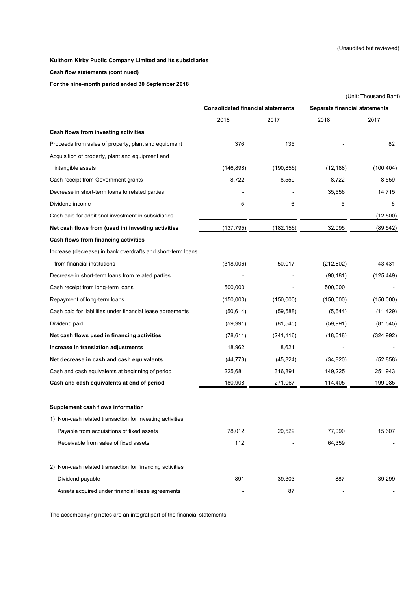#### **Cash flow statements (continued)**

**For the nine-month period ended 30 September 2018**

|                                                             |                                          |            |                               | (Unit: Thousand Baht) |  |
|-------------------------------------------------------------|------------------------------------------|------------|-------------------------------|-----------------------|--|
|                                                             | <b>Consolidated financial statements</b> |            | Separate financial statements |                       |  |
|                                                             | 2018                                     | 2017       | 2018                          | 2017                  |  |
| Cash flows from investing activities                        |                                          |            |                               |                       |  |
| Proceeds from sales of property, plant and equipment        | 376                                      | 135        |                               | 82                    |  |
| Acquisition of property, plant and equipment and            |                                          |            |                               |                       |  |
| intangible assets                                           | (146, 898)                               | (190, 856) | (12, 188)                     | (100, 404)            |  |
| Cash receipt from Government grants                         | 8,722                                    | 8,559      | 8,722                         | 8,559                 |  |
| Decrease in short-term loans to related parties             |                                          |            | 35,556                        | 14,715                |  |
| Dividend income                                             | 5                                        | 6          | 5                             | 6                     |  |
| Cash paid for additional investment in subsidiaries         |                                          |            |                               | (12,500)              |  |
| Net cash flows from (used in) investing activities          | (137, 795)                               | (182, 156) | 32,095                        | (89, 542)             |  |
| Cash flows from financing activities                        |                                          |            |                               |                       |  |
| Increase (decrease) in bank overdrafts and short-term loans |                                          |            |                               |                       |  |
| from financial institutions                                 | (318,006)                                | 50,017     | (212, 802)                    | 43,431                |  |
| Decrease in short-term loans from related parties           |                                          |            | (90, 181)                     | (125, 449)            |  |
| Cash receipt from long-term loans                           | 500,000                                  |            | 500,000                       |                       |  |
| Repayment of long-term loans                                | (150,000)                                | (150,000)  | (150,000)                     | (150,000)             |  |
| Cash paid for liabilities under financial lease agreements  | (50, 614)                                | (59, 588)  | (5,644)                       | (11, 429)             |  |
| Dividend paid                                               | (59, 991)                                | (81, 545)  | (59, 991)                     | (81, 545)             |  |
| Net cash flows used in financing activities                 | (78, 611)                                | (241, 116) | (18, 618)                     | (324, 992)            |  |
| Increase in translation adjustments                         | 18,962                                   | 8,621      |                               |                       |  |
| Net decrease in cash and cash equivalents                   | (44, 773)                                | (45, 824)  | (34, 820)                     | (52, 858)             |  |
| Cash and cash equivalents at beginning of period            | 225,681                                  | 316,891    | 149,225                       | 251,943               |  |
| Cash and cash equivalents at end of period                  | 180,908                                  | 271,067    | 114,405                       | 199,085               |  |
| <b>Supplement cash flows information</b>                    |                                          |            |                               |                       |  |
| 1) Non-cash related transaction for investing activities    |                                          |            |                               |                       |  |
| Payable from acquisitions of fixed assets                   | 78,012                                   | 20,529     | 77,090                        | 15,607                |  |
| Receivable from sales of fixed assets                       | 112                                      |            | 64,359                        |                       |  |
| 2) Non-cash related transaction for financing activities    |                                          |            |                               |                       |  |
| Dividend payable                                            | 891                                      | 39,303     | 887                           | 39,299                |  |
| Assets acquired under financial lease agreements            |                                          | 87         |                               |                       |  |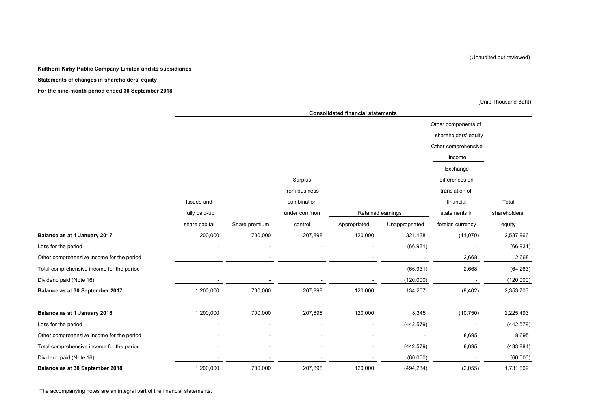(Unaudited but reviewed)

#### **Kulthorn Kirby Public Company Limited and its subsidiaries**

#### **Statements of changes in shareholders' equity**

**For the nine-month period ended 30 September 2018**

(Unit: Thousand Baht)

|                                           | <b>Consolidated financial statements</b> |               |               |                   |                |                      |               |  |  |
|-------------------------------------------|------------------------------------------|---------------|---------------|-------------------|----------------|----------------------|---------------|--|--|
|                                           |                                          |               |               |                   |                | Other components of  |               |  |  |
|                                           |                                          |               |               |                   |                | shareholders' equity |               |  |  |
|                                           |                                          |               |               |                   |                | Other comprehensive  |               |  |  |
|                                           |                                          |               |               |                   |                | income               |               |  |  |
|                                           |                                          |               |               |                   |                | Exchange             |               |  |  |
|                                           |                                          |               | Surplus       |                   |                | differences on       |               |  |  |
|                                           |                                          |               | from business |                   |                | translation of       |               |  |  |
|                                           | Issued and                               |               | combination   |                   |                | financial            | Total         |  |  |
|                                           | fully paid-up                            |               | under common  | Retained earnings |                | statements in        | shareholders' |  |  |
|                                           | share capital                            | Share premium | control       | Appropriated      | Unappropriated | foreign currency     | equity        |  |  |
| Balance as at 1 January 2017              | 1,200,000                                | 700,000       | 207,898       | 120,000           | 321,138        | (11,070)             | 2,537,966     |  |  |
| Loss for the period                       |                                          |               |               |                   | (66, 931)      |                      | (66, 931)     |  |  |
| Other comprehensive income for the period |                                          |               |               |                   |                | 2,668                | 2,668         |  |  |
| Total comprehensive income for the period |                                          |               |               |                   | (66, 931)      | 2,668                | (64, 263)     |  |  |
| Dividend paid (Note 16)                   |                                          |               |               |                   | (120,000)      |                      | (120,000)     |  |  |
| Balance as at 30 September 2017           | 1,200,000                                | 700,000       | 207,898       | 120,000           | 134,207        | (8, 402)             | 2,353,703     |  |  |
|                                           |                                          |               |               |                   |                |                      |               |  |  |
| Balance as at 1 January 2018              | 1,200,000                                | 700,000       | 207,898       | 120,000           | 8,345          | (10, 750)            | 2,225,493     |  |  |
| Loss for the period                       |                                          |               |               |                   | (442, 579)     |                      | (442, 579)    |  |  |
| Other comprehensive income for the period |                                          |               |               |                   |                | 8,695                | 8,695         |  |  |
| Total comprehensive income for the period |                                          |               |               |                   | (442, 579)     | 8,695                | (433, 884)    |  |  |
| Dividend paid (Note 16)                   |                                          |               |               |                   | (60,000)       |                      | (60,000)      |  |  |
| Balance as at 30 September 2018           | 1,200,000                                | 700,000       | 207,898       | 120,000           | (494, 234)     | (2,055)              | 1,731,609     |  |  |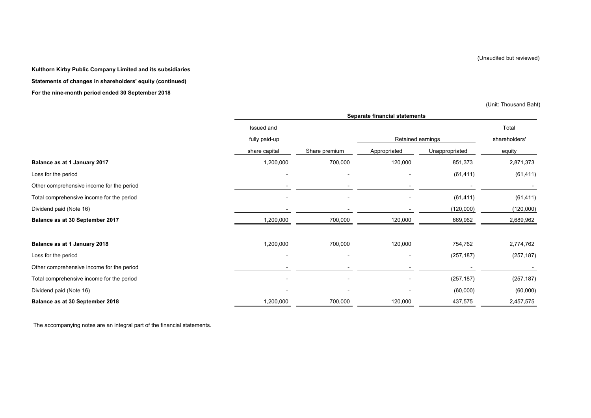(Unaudited but reviewed)

**Kulthorn Kirby Public Company Limited and its subsidiaries Statements of changes in shareholders' equity (continued) For the nine-month period ended 30 September 2018**

(Unit: Thousand Baht)

|                                           | Separate financial statements |               |              |                   |               |  |  |
|-------------------------------------------|-------------------------------|---------------|--------------|-------------------|---------------|--|--|
|                                           | Issued and                    |               |              |                   | Total         |  |  |
|                                           | fully paid-up                 |               |              | Retained earnings | shareholders' |  |  |
|                                           | share capital                 | Share premium | Appropriated | Unappropriated    | equity        |  |  |
| Balance as at 1 January 2017              | 1,200,000                     | 700,000       | 120,000      | 851,373           | 2,871,373     |  |  |
| Loss for the period                       |                               |               |              | (61, 411)         | (61, 411)     |  |  |
| Other comprehensive income for the period |                               |               |              |                   |               |  |  |
| Total comprehensive income for the period |                               |               |              | (61, 411)         | (61, 411)     |  |  |
| Dividend paid (Note 16)                   |                               |               |              | (120,000)         | (120,000)     |  |  |
| Balance as at 30 September 2017           | 1,200,000                     | 700,000       | 120,000      | 669,962           | 2,689,962     |  |  |
| Balance as at 1 January 2018              | 1,200,000                     | 700,000       | 120,000      | 754,762           | 2,774,762     |  |  |
| Loss for the period                       |                               |               |              | (257, 187)        | (257, 187)    |  |  |
| Other comprehensive income for the period |                               |               |              |                   |               |  |  |
| Total comprehensive income for the period |                               |               |              | (257, 187)        | (257, 187)    |  |  |
| Dividend paid (Note 16)                   |                               |               |              | (60,000)          | (60,000)      |  |  |
| Balance as at 30 September 2018           | 1,200,000                     | 700,000       | 120,000      | 437,575           | 2,457,575     |  |  |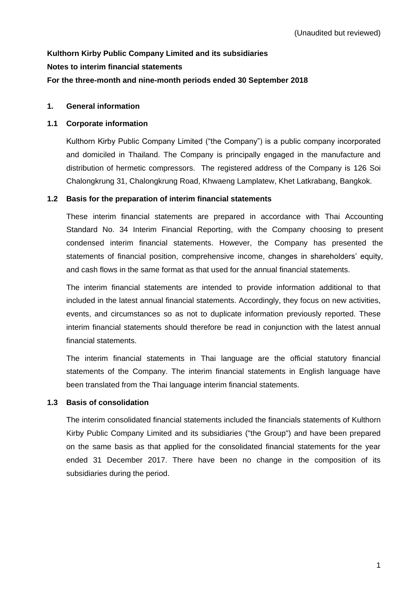# **Kulthorn Kirby Public Company Limited and its subsidiaries Notes to interim financial statements For the three-month and nine-month periods ended 30 September 2018**

# **1. General information**

## **1.1 Corporate information**

Kulthorn Kirby Public Company Limited ("the Company") is a public company incorporated and domiciled in Thailand. The Company is principally engaged in the manufacture and distribution of hermetic compressors. The registered address of the Company is 126 Soi Chalongkrung 31, Chalongkrung Road, Khwaeng Lamplatew, Khet Latkrabang, Bangkok.

## **1.2 Basis for the preparation of interim financial statements**

These interim financial statements are prepared in accordance with Thai Accounting Standard No. 34 Interim Financial Reporting, with the Company choosing to present condensed interim financial statements. However, the Company has presented the statements of financial position, comprehensive income, changes in shareholders' equity, and cash flows in the same format as that used for the annual financial statements.

The interim financial statements are intended to provide information additional to that included in the latest annual financial statements. Accordingly, they focus on new activities, events, and circumstances so as not to duplicate information previously reported. These interim financial statements should therefore be read in conjunction with the latest annual financial statements.

The interim financial statements in Thai language are the official statutory financial statements of the Company. The interim financial statements in English language have been translated from the Thai language interim financial statements.

# **1.3 Basis of consolidation**

The interim consolidated financial statements included the financials statements of Kulthorn Kirby Public Company Limited and its subsidiaries ("the Group") and have been prepared on the same basis as that applied for the consolidated financial statements for the year ended 31 December 2017. There have been no change in the composition of its subsidiaries during the period.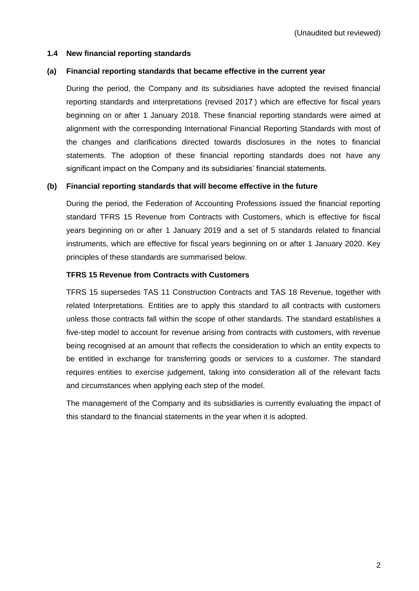## **1.4 New financial reporting standards**

## **(a) Financial reporting standards that became effective in the current year**

During the period, the Company and its subsidiaries have adopted the revised financial reporting standards and interpretations (revised 2017 ) which are effective for fiscal years beginning on or after 1 January 2018. These financial reporting standards were aimed at alignment with the corresponding International Financial Reporting Standards with most of the changes and clarifications directed towards disclosures in the notes to financial statements. The adoption of these financial reporting standards does not have any significant impact on the Company and its subsidiaries' financial statements.

## **(b) Financial reporting standards that will become effective in the future**

During the period, the Federation of Accounting Professions issued the financial reporting standard TFRS 15 Revenue from Contracts with Customers, which is effective for fiscal years beginning on or after 1 January 2019 and a set of 5 standards related to financial instruments, which are effective for fiscal years beginning on or after 1 January 2020. Key principles of these standards are summarised below.

# **TFRS 15 Revenue from Contracts with Customers**

TFRS 15 supersedes TAS 11 Construction Contracts and TAS 18 Revenue, together with related Interpretations. Entities are to apply this standard to all contracts with customers unless those contracts fall within the scope of other standards. The standard establishes a five-step model to account for revenue arising from contracts with customers, with revenue being recognised at an amount that reflects the consideration to which an entity expects to be entitled in exchange for transferring goods or services to a customer. The standard requires entities to exercise judgement, taking into consideration all of the relevant facts and circumstances when applying each step of the model.

The management of the Company and its subsidiaries is currently evaluating the impact of this standard to the financial statements in the year when it is adopted.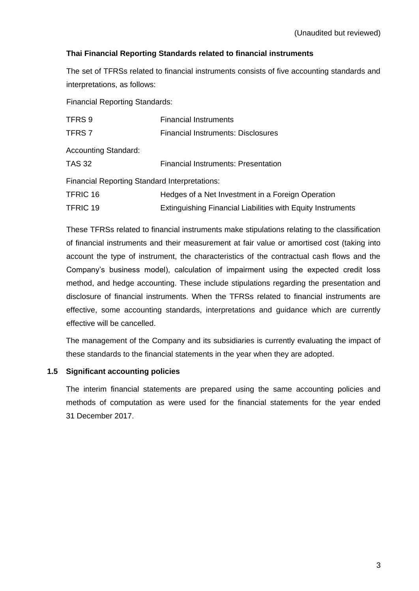# **Thai Financial Reporting Standards related to financial instruments**

The set of TFRSs related to financial instruments consists of five accounting standards and interpretations, as follows:

Financial Reporting Standards:

| TFRS 9                                               | <b>Financial Instruments</b>                                       |
|------------------------------------------------------|--------------------------------------------------------------------|
| TFRS <sub>7</sub>                                    | <b>Financial Instruments: Disclosures</b>                          |
| <b>Accounting Standard:</b>                          |                                                                    |
| TAS 32                                               | Financial Instruments: Presentation                                |
| <b>Financial Reporting Standard Interpretations:</b> |                                                                    |
| TFRIC 16                                             | Hedges of a Net Investment in a Foreign Operation                  |
| TFRIC 19                                             | <b>Extinguishing Financial Liabilities with Equity Instruments</b> |

These TFRSs related to financial instruments make stipulations relating to the classification of financial instruments and their measurement at fair value or amortised cost (taking into account the type of instrument, the characteristics of the contractual cash flows and the Company's business model), calculation of impairment using the expected credit loss method, and hedge accounting. These include stipulations regarding the presentation and disclosure of financial instruments. When the TFRSs related to financial instruments are effective, some accounting standards, interpretations and guidance which are currently effective will be cancelled.

The management of the Company and its subsidiaries is currently evaluating the impact of these standards to the financial statements in the year when they are adopted.

## **1.5 Significant accounting policies**

The interim financial statements are prepared using the same accounting policies and methods of computation as were used for the financial statements for the year ended 31 December 2017.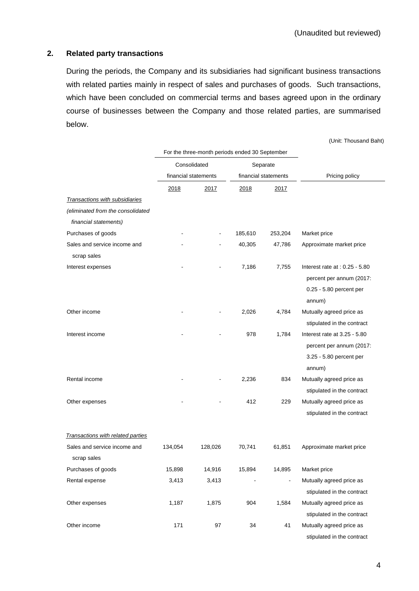## **2. Related party transactions**

During the periods, the Company and its subsidiaries had significant business transactions with related parties mainly in respect of sales and purchases of goods. Such transactions, which have been concluded on commercial terms and bases agreed upon in the ordinary course of businesses between the Company and those related parties, are summarised below.

(Unit: Thousand Baht)

|                                             |                      | For the three-month periods ended 30 September |          |                              |                                                                                                   |
|---------------------------------------------|----------------------|------------------------------------------------|----------|------------------------------|---------------------------------------------------------------------------------------------------|
|                                             | Consolidated         |                                                | Separate |                              |                                                                                                   |
|                                             | financial statements |                                                |          | financial statements         | Pricing policy                                                                                    |
|                                             | 2018                 | 2017                                           | 2018     | 2017                         |                                                                                                   |
| Transactions with subsidiaries              |                      |                                                |          |                              |                                                                                                   |
| (eliminated from the consolidated           |                      |                                                |          |                              |                                                                                                   |
| financial statements)                       |                      |                                                |          |                              |                                                                                                   |
| Purchases of goods                          |                      |                                                | 185,610  | 253,204                      | Market price                                                                                      |
| Sales and service income and<br>scrap sales |                      |                                                | 40,305   | 47,786                       | Approximate market price                                                                          |
| Interest expenses                           |                      |                                                | 7,186    | 7,755                        | Interest rate at : $0.25 - 5.80$<br>percent per annum (2017:<br>0.25 - 5.80 percent per<br>annum) |
| Other income                                |                      |                                                | 2,026    | 4,784                        | Mutually agreed price as<br>stipulated in the contract                                            |
| Interest income                             |                      |                                                | 978      | 1,784                        | Interest rate at 3.25 - 5.80<br>percent per annum (2017:<br>3.25 - 5.80 percent per<br>annum)     |
| Rental income                               |                      |                                                | 2,236    | 834                          | Mutually agreed price as<br>stipulated in the contract                                            |
| Other expenses                              |                      |                                                | 412      | 229                          | Mutually agreed price as<br>stipulated in the contract                                            |
| Transactions with related parties           |                      |                                                |          |                              |                                                                                                   |
| Sales and service income and<br>scrap sales | 134,054              | 128,026                                        | 70,741   | 61,851                       | Approximate market price                                                                          |
| Purchases of goods                          | 15,898               | 14,916                                         | 15,894   | 14,895                       | Market price                                                                                      |
| Rental expense                              | 3,413                | 3,413                                          |          | $\qquad \qquad \blacksquare$ | Mutually agreed price as<br>stipulated in the contract                                            |
| Other expenses                              | 1,187                | 1,875                                          | 904      | 1,584                        | Mutually agreed price as<br>stipulated in the contract                                            |
| Other income                                | 171                  | 97                                             | 34       | 41                           | Mutually agreed price as<br>stipulated in the contract                                            |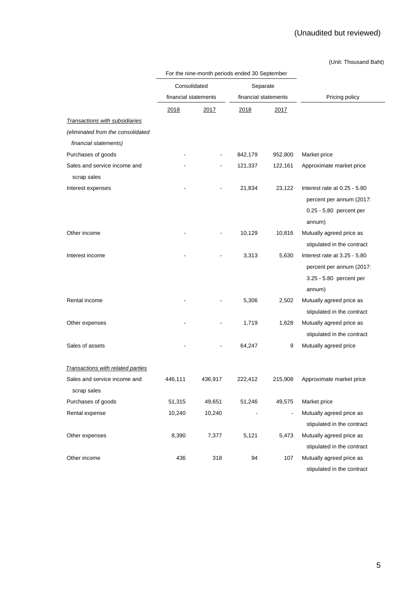# (Unaudited but reviewed)

(Unit: Thousand Baht)

|                                   |                      | For the nine-month periods ended 30 September |                      |                |                              |
|-----------------------------------|----------------------|-----------------------------------------------|----------------------|----------------|------------------------------|
|                                   | Consolidated         |                                               | Separate             |                |                              |
|                                   | financial statements |                                               | financial statements |                | Pricing policy               |
|                                   | 2018                 | 2017                                          | 2018                 | 2017           |                              |
| Transactions with subsidiaries    |                      |                                               |                      |                |                              |
| (eliminated from the consolidated |                      |                                               |                      |                |                              |
| financial statements)             |                      |                                               |                      |                |                              |
| Purchases of goods                |                      |                                               | 842,179              | 952,800        | Market price                 |
| Sales and service income and      |                      |                                               | 121,337              | 122,161        | Approximate market price     |
| scrap sales                       |                      |                                               |                      |                |                              |
| Interest expenses                 |                      |                                               | 21,834               | 23,122         | Interest rate at 0.25 - 5.80 |
|                                   |                      |                                               |                      |                | percent per annum (2017:     |
|                                   |                      |                                               |                      |                | 0.25 - 5.80 percent per      |
|                                   |                      |                                               |                      |                | annum)                       |
| Other income                      |                      |                                               | 10,129               | 10,816         | Mutually agreed price as     |
|                                   |                      |                                               |                      |                | stipulated in the contract   |
| Interest income                   |                      |                                               | 3,313                | 5,630          | Interest rate at 3.25 - 5.80 |
|                                   |                      |                                               |                      |                | percent per annum (2017:     |
|                                   |                      |                                               |                      |                | 3.25 - 5.80 percent per      |
|                                   |                      |                                               |                      |                | annum)                       |
| Rental income                     |                      |                                               | 5,306                | 2,502          | Mutually agreed price as     |
|                                   |                      |                                               |                      |                | stipulated in the contract   |
| Other expenses                    |                      |                                               | 1,719                | 1,628          | Mutually agreed price as     |
|                                   |                      |                                               |                      |                | stipulated in the contract   |
| Sales of assets                   |                      |                                               | 64,247               | 9              | Mutually agreed price        |
|                                   |                      |                                               |                      |                |                              |
| Transactions with related parties |                      |                                               |                      |                |                              |
| Sales and service income and      | 446,111              | 436,917                                       | 222,412              | 215,908        | Approximate market price     |
| scrap sales                       |                      |                                               |                      |                |                              |
| Purchases of goods                | 51,315               | 49,651                                        | 51,246               | 49,575         | Market price                 |
| Rental expense                    | 10,240               | 10,240                                        |                      | $\blacksquare$ | Mutually agreed price as     |
|                                   |                      |                                               |                      |                | stipulated in the contract   |
| Other expenses                    | 8,390                | 7,377                                         | 5,121                | 5,473          | Mutually agreed price as     |
|                                   |                      |                                               |                      |                | stipulated in the contract   |
| Other income                      | 436                  | 318                                           | 94                   | 107            | Mutually agreed price as     |
|                                   |                      |                                               |                      |                | stipulated in the contract   |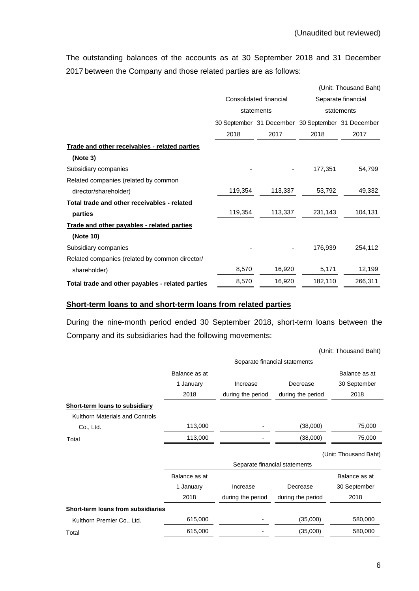The outstanding balances of the accounts as at 30 September 2018 and 31 December 2017 between the Company and those related parties are as follows:

|                                                  |         |                                                   | (Unit: Thousand Baht) |                    |  |  |
|--------------------------------------------------|---------|---------------------------------------------------|-----------------------|--------------------|--|--|
|                                                  |         | Consolidated financial                            |                       | Separate financial |  |  |
|                                                  |         | statements                                        |                       | statements         |  |  |
|                                                  |         | 30 September 31 December 30 September 31 December |                       |                    |  |  |
|                                                  | 2018    | 2017                                              | 2018                  | 2017               |  |  |
| Trade and other receivables - related parties    |         |                                                   |                       |                    |  |  |
| (Note 3)                                         |         |                                                   |                       |                    |  |  |
| Subsidiary companies                             |         |                                                   | 177,351               | 54,799             |  |  |
| Related companies (related by common             |         |                                                   |                       |                    |  |  |
| director/shareholder)                            | 119,354 | 113,337                                           | 53,792                | 49,332             |  |  |
| Total trade and other receivables - related      |         |                                                   |                       |                    |  |  |
| parties                                          | 119,354 | 113,337                                           | 231,143               | 104,131            |  |  |
| Trade and other payables - related parties       |         |                                                   |                       |                    |  |  |
| (Note 10)                                        |         |                                                   |                       |                    |  |  |
| Subsidiary companies                             |         |                                                   | 176,939               | 254,112            |  |  |
| Related companies (related by common director/   |         |                                                   |                       |                    |  |  |
| shareholder)                                     | 8,570   | 16,920                                            | 5,171                 | 12,199             |  |  |
| Total trade and other payables - related parties | 8,570   | 16,920                                            | 182,110               | 266,311            |  |  |

# **Short-term loans to and short-term loans from related parties**

During the nine-month period ended 30 September 2018, short-term loans between the Company and its subsidiaries had the following movements:

|                                           |                               |                   |                               | (Unit: Thousand Baht) |  |  |  |
|-------------------------------------------|-------------------------------|-------------------|-------------------------------|-----------------------|--|--|--|
|                                           | Separate financial statements |                   |                               |                       |  |  |  |
|                                           | Balance as at                 |                   |                               | Balance as at         |  |  |  |
|                                           | 1 January                     | Increase          | Decrease                      | 30 September          |  |  |  |
|                                           | 2018                          | during the period | during the period             | 2018                  |  |  |  |
| <b>Short-term loans to subsidiary</b>     |                               |                   |                               |                       |  |  |  |
| Kulthorn Materials and Controls           |                               |                   |                               |                       |  |  |  |
| Co., Ltd.                                 | 113,000                       |                   | (38,000)                      | 75,000                |  |  |  |
| Total                                     | 113,000                       |                   | (38,000)                      | 75,000                |  |  |  |
|                                           |                               |                   |                               | (Unit: Thousand Baht) |  |  |  |
|                                           |                               |                   | Separate financial statements |                       |  |  |  |
|                                           | Balance as at                 |                   |                               | Balance as at         |  |  |  |
|                                           | 1 January                     | Increase          | Decrease                      | 30 September          |  |  |  |
|                                           | 2018                          | during the period | during the period             | 2018                  |  |  |  |
| <b>Short-term loans from subsidiaries</b> |                               |                   |                               |                       |  |  |  |
| Kulthorn Premier Co., Ltd.                | 615,000                       |                   | (35,000)                      | 580,000               |  |  |  |
| Total                                     | 615,000                       |                   | (35,000)                      | 580,000               |  |  |  |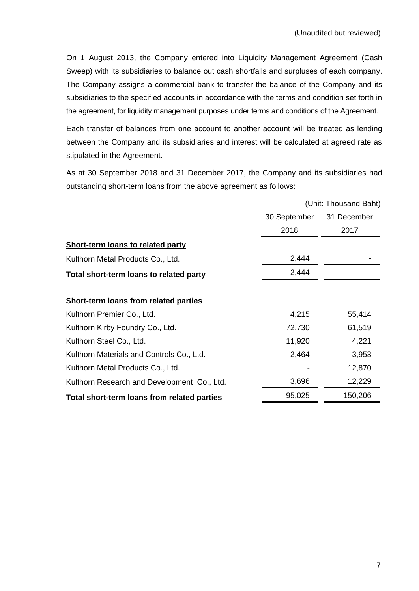On 1 August 2013, the Company entered into Liquidity Management Agreement (Cash Sweep) with its subsidiaries to balance out cash shortfalls and surpluses of each company. The Company assigns a commercial bank to transfer the balance of the Company and its subsidiaries to the specified accounts in accordance with the terms and condition set forth in the agreement, for liquidity management purposes under terms and conditions of the Agreement.

Each transfer of balances from one account to another account will be treated as lending between the Company and its subsidiaries and interest will be calculated at agreed rate as stipulated in the Agreement.

As at 30 September 2018 and 31 December 2017, the Company and its subsidiaries had outstanding short-term loans from the above agreement as follows:

|                                              |              | (Unit: Thousand Baht) |
|----------------------------------------------|--------------|-----------------------|
|                                              | 30 September | 31 December           |
|                                              | 2018         | 2017                  |
| <b>Short-term loans to related party</b>     |              |                       |
| Kulthorn Metal Products Co., Ltd.            | 2,444        |                       |
| Total short-term loans to related party      | 2,444        |                       |
| <b>Short-term loans from related parties</b> |              |                       |
| Kulthorn Premier Co., Ltd.                   | 4,215        | 55,414                |
| Kulthorn Kirby Foundry Co., Ltd.             | 72,730       | 61,519                |
| Kulthorn Steel Co., Ltd.                     | 11,920       | 4,221                 |
| Kulthorn Materials and Controls Co., Ltd.    | 2,464        | 3,953                 |
| Kulthorn Metal Products Co., Ltd.            |              | 12,870                |
| Kulthorn Research and Development Co., Ltd.  | 3,696        | 12,229                |
| Total short-term loans from related parties  | 95,025       | 150,206               |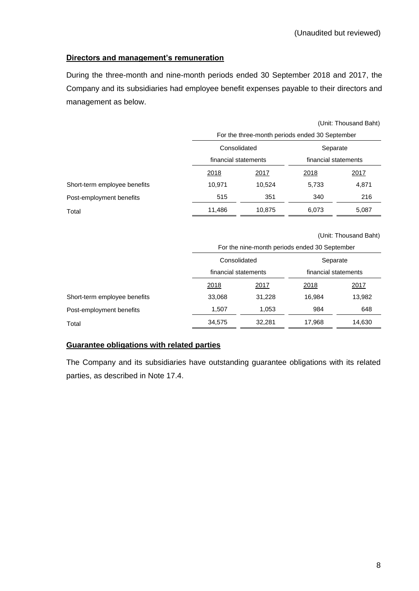# **Directors and management's remuneration**

During the three-month and nine-month periods ended 30 September 2018 and 2017, the Company and its subsidiaries had employee benefit expenses payable to their directors and management as below.

|                              | (Unit: Thousand Baht)                          |        |                      |               |  |
|------------------------------|------------------------------------------------|--------|----------------------|---------------|--|
|                              | For the three-month periods ended 30 September |        |                      |               |  |
|                              | Consolidated<br>Separate                       |        |                      |               |  |
|                              | financial statements                           |        | financial statements |               |  |
|                              | 2018<br>2017                                   |        | <u>2018</u>          | <u> 2017 </u> |  |
| Short-term employee benefits | 10,971                                         | 10,524 | 5,733                | 4,871         |  |
| Post-employment benefits     | 515                                            | 351    | 340                  | 216           |  |
| Total                        | 11,486                                         | 10,875 | 6,073                | 5,087         |  |

(Unit: Thousand Baht)

|                              |                      | For the nine-month periods ended 30 September |                      |        |  |  |  |
|------------------------------|----------------------|-----------------------------------------------|----------------------|--------|--|--|--|
|                              | Consolidated         |                                               | Separate             |        |  |  |  |
|                              | financial statements |                                               | financial statements |        |  |  |  |
|                              | 2018                 | 2017                                          | <u>2018</u>          | 2017   |  |  |  |
| Short-term employee benefits | 33,068               | 31,228                                        | 16.984               | 13,982 |  |  |  |
| Post-employment benefits     | 1,507                | 1,053                                         | 984                  | 648    |  |  |  |
| Total                        | 34,575               | 32.281                                        | 17,968               | 14,630 |  |  |  |

## **Guarantee obligations with related parties**

The Company and its subsidiaries have outstanding guarantee obligations with its related parties, as described in Note 17.4.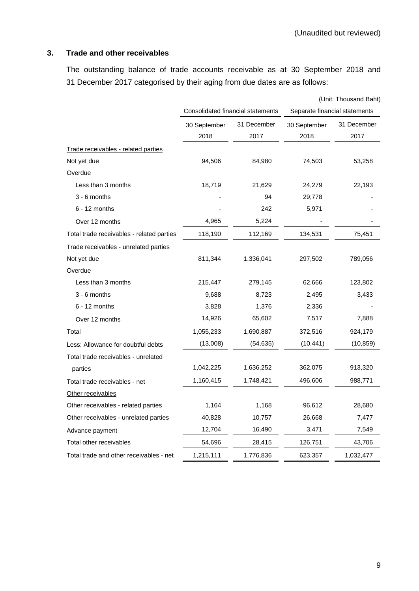# **3. Trade and other receivables**

The outstanding balance of trade accounts receivable as at 30 September 2018 and 31 December 2017 categorised by their aging from due dates are as follows:

|                                           |              |                                   |              | (Unit: Thousand Baht)         |  |  |
|-------------------------------------------|--------------|-----------------------------------|--------------|-------------------------------|--|--|
|                                           |              | Consolidated financial statements |              | Separate financial statements |  |  |
|                                           | 30 September | 31 December                       | 30 September | 31 December                   |  |  |
|                                           | 2018         | 2017                              | 2018         | 2017                          |  |  |
| Trade receivables - related parties       |              |                                   |              |                               |  |  |
| Not yet due                               | 94,506       | 84,980                            | 74,503       | 53,258                        |  |  |
| Overdue                                   |              |                                   |              |                               |  |  |
| Less than 3 months                        | 18,719       | 21,629                            | 24,279       | 22,193                        |  |  |
| $3 - 6$ months                            |              | 94                                | 29,778       |                               |  |  |
| $6 - 12$ months                           |              | 242                               | 5,971        |                               |  |  |
| Over 12 months                            | 4,965        | 5,224                             |              |                               |  |  |
| Total trade receivables - related parties | 118,190      | 112,169                           | 134,531      | 75,451                        |  |  |
| Trade receivables - unrelated parties     |              |                                   |              |                               |  |  |
| Not yet due                               | 811,344      | 1,336,041                         | 297,502      | 789,056                       |  |  |
| Overdue                                   |              |                                   |              |                               |  |  |
| Less than 3 months                        | 215,447      | 279,145                           | 62,666       | 123,802                       |  |  |
| $3 - 6$ months                            | 9,688        | 8,723                             | 2,495        | 3,433                         |  |  |
| $6 - 12$ months                           | 3,828        | 1,376                             | 2,336        |                               |  |  |
| Over 12 months                            | 14,926       | 65,602                            | 7,517        | 7,888                         |  |  |
| Total                                     | 1,055,233    | 1,690,887                         | 372,516      | 924,179                       |  |  |
| Less: Allowance for doubtful debts        | (13,008)     | (54,635)                          | (10, 441)    | (10, 859)                     |  |  |
| Total trade receivables - unrelated       |              |                                   |              |                               |  |  |
| parties                                   | 1,042,225    | 1,636,252                         | 362,075      | 913,320                       |  |  |
| Total trade receivables - net             | 1,160,415    | 1,748,421                         | 496,606      | 988,771                       |  |  |
| Other receivables                         |              |                                   |              |                               |  |  |
| Other receivables - related parties       | 1,164        | 1,168                             | 96,612       | 28,680                        |  |  |
| Other receivables - unrelated parties     | 40,828       | 10,757                            | 26,668       | 7,477                         |  |  |
| Advance payment                           | 12,704       | 16,490                            | 3,471        | 7,549                         |  |  |
| Total other receivables                   | 54,696       | 28,415                            | 126,751      | 43,706                        |  |  |
| Total trade and other receivables - net   | 1,215,111    | 1,776,836                         | 623,357      | 1,032,477                     |  |  |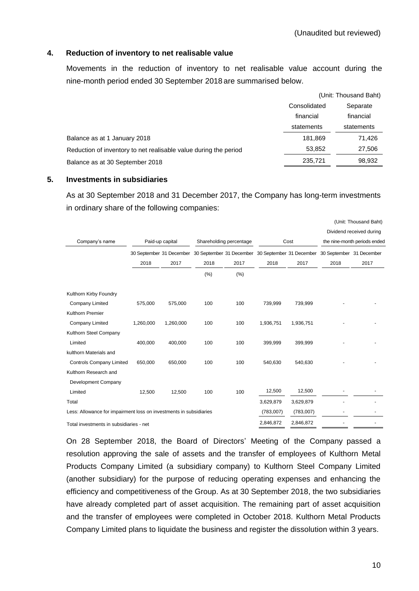#### **4. Reduction of inventory to net realisable value**

Movements in the reduction of inventory to net realisable value account during the nine-month period ended 30 September 2018 are summarised below.

| (Unit: Thousand Baht) |            |  |
|-----------------------|------------|--|
| Consolidated          | Separate   |  |
| financial             | financial  |  |
| statements            | statements |  |
| 181,869               | 71,426     |  |
| 53,852                | 27,506     |  |
| 235,721               | 98,932     |  |
|                       |            |  |

#### **5. Investments in subsidiaries**

As at 30 September 2018 and 31 December 2017, the Company has long-term investments in ordinary share of the following companies:

|                                                                    |           |                 |      |                                 |                                                                            |                                                          |                          | (Unit: Thousand Baht) |
|--------------------------------------------------------------------|-----------|-----------------|------|---------------------------------|----------------------------------------------------------------------------|----------------------------------------------------------|--------------------------|-----------------------|
| Company's name                                                     |           | Paid-up capital |      | Shareholding percentage<br>Cost |                                                                            | Dividend received during<br>the nine-month periods ended |                          |                       |
|                                                                    |           |                 |      |                                 | 30 September 31 December 30 September 31 December 30 September 31 December |                                                          | 30 September 31 December |                       |
|                                                                    | 2018      | 2017            | 2018 | 2017                            | 2018                                                                       | 2017                                                     | 2018                     | 2017                  |
|                                                                    |           |                 | (%)  | (% )                            |                                                                            |                                                          |                          |                       |
| Kulthorn Kirby Foundry                                             |           |                 |      |                                 |                                                                            |                                                          |                          |                       |
| Company Limited                                                    | 575,000   | 575,000         | 100  | 100                             | 739,999                                                                    | 739,999                                                  |                          |                       |
| Kulthorn Premier                                                   |           |                 |      |                                 |                                                                            |                                                          |                          |                       |
| Company Limited                                                    | 1,260,000 | 1,260,000       | 100  | 100                             | 1,936,751                                                                  | 1,936,751                                                |                          |                       |
| Kulthorn Steel Company                                             |           |                 |      |                                 |                                                                            |                                                          |                          |                       |
| Limited                                                            | 400,000   | 400,000         | 100  | 100                             | 399,999                                                                    | 399,999                                                  |                          |                       |
| kulthorn Materials and                                             |           |                 |      |                                 |                                                                            |                                                          |                          |                       |
| <b>Controls Company Limited</b>                                    | 650,000   | 650,000         | 100  | 100                             | 540,630                                                                    | 540,630                                                  |                          |                       |
| Kulthorn Research and                                              |           |                 |      |                                 |                                                                            |                                                          |                          |                       |
| Development Company                                                |           |                 |      |                                 |                                                                            |                                                          |                          |                       |
| Limited                                                            | 12,500    | 12,500          | 100  | 100                             | 12,500                                                                     | 12,500                                                   |                          |                       |
| Total                                                              |           |                 |      |                                 | 3,629,879                                                                  | 3,629,879                                                |                          |                       |
| Less: Allowance for impairment loss on investments in subsidiaries |           |                 |      |                                 | (783,007)                                                                  | (783,007)                                                |                          |                       |
| Total investments in subsidiaries - net                            |           |                 |      |                                 | 2,846,872                                                                  | 2,846,872                                                |                          |                       |

On 28 September 2018, the Board of Directors' Meeting of the Company passed a resolution approving the sale of assets and the transfer of employees of Kulthorn Metal Products Company Limited (a subsidiary company) to Kulthorn Steel Company Limited (another subsidiary) for the purpose of reducing operating expenses and enhancing the efficiency and competitiveness of the Group. As at 30 September 2018, the two subsidiaries have already completed part of asset acquisition. The remaining part of asset acquisition and the transfer of employees were completed in October 2018. Kulthorn Metal Products Company Limited plans to liquidate the business and register the dissolution within 3 years.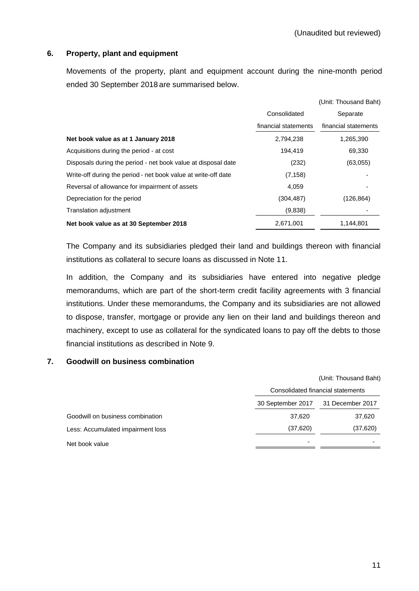## **6. Property, plant and equipment**

Movements of the property, plant and equipment account during the nine-month period ended 30 September 2018 are summarised below.

|                                                                |                      | (Unit: Thousand Baht) |
|----------------------------------------------------------------|----------------------|-----------------------|
|                                                                | Consolidated         | Separate              |
|                                                                | financial statements | financial statements  |
| Net book value as at 1 January 2018                            | 2,794,238            | 1,265,390             |
| Acquisitions during the period - at cost                       | 194.419              | 69,330                |
| Disposals during the period - net book value at disposal date  | (232)                | (63,055)              |
| Write-off during the period - net book value at write-off date | (7.158)              |                       |
| Reversal of allowance for impairment of assets                 | 4,059                |                       |
| Depreciation for the period                                    | (304,487)            | (126, 864)            |
| <b>Translation adjustment</b>                                  | (9,838)              |                       |
| Net book value as at 30 September 2018                         | 2,671,001            | 1,144,801             |

The Company and its subsidiaries pledged their land and buildings thereon with financial institutions as collateral to secure loans as discussed in Note 11.

In addition, the Company and its subsidiaries have entered into negative pledge memorandums, which are part of the short-term credit facility agreements with 3 financial institutions. Under these memorandums, the Company and its subsidiaries are not allowed to dispose, transfer, mortgage or provide any lien on their land and buildings thereon and machinery, except to use as collateral for the syndicated loans to pay off the debts to those financial institutions as described in Note 9.

#### **7. Goodwill on business combination**

|                                   | (Unit: Thousand Baht)             |                  |  |  |
|-----------------------------------|-----------------------------------|------------------|--|--|
|                                   | Consolidated financial statements |                  |  |  |
|                                   | 30 September 2017                 | 31 December 2017 |  |  |
| Goodwill on business combination  | 37,620                            | 37,620           |  |  |
| Less: Accumulated impairment loss | (37, 620)                         | (37, 620)        |  |  |
| Net book value                    |                                   |                  |  |  |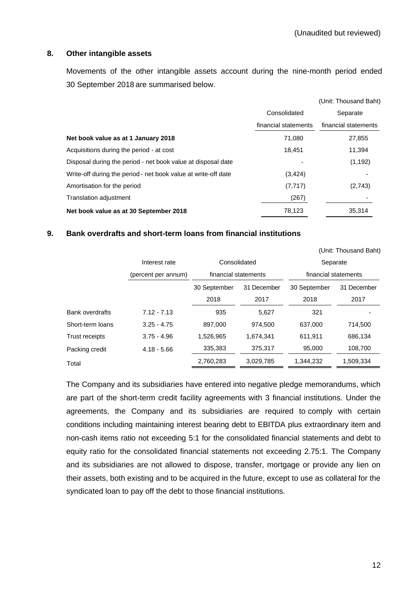#### **8. Other intangible assets**

Movements of the other intangible assets account during the nine-month period ended 30 September 2018 are summarised below.

|                                                                |                      | (Unit: Thousand Baht) |
|----------------------------------------------------------------|----------------------|-----------------------|
|                                                                | Consolidated         | Separate              |
|                                                                | financial statements | financial statements  |
| Net book value as at 1 January 2018                            | 71,080               | 27,855                |
| Acquisitions during the period - at cost                       | 18.451               | 11,394                |
| Disposal during the period - net book value at disposal date   |                      | (1, 192)              |
| Write-off during the period - net book value at write-off date | (3,424)              |                       |
| Amortisation for the period                                    | (7, 717)             | (2,743)               |
| Translation adjustment                                         | (267)                |                       |
| Net book value as at 30 September 2018                         | 78,123               | 35,314                |

#### **9. Bank overdrafts and short-term loans from financial institutions**

|                        |                     |                      |             |                      | (Unit: Thousand Baht) |  |
|------------------------|---------------------|----------------------|-------------|----------------------|-----------------------|--|
|                        | Interest rate       | Consolidated         |             | Separate             |                       |  |
|                        | (percent per annum) | financial statements |             | financial statements |                       |  |
|                        |                     | 30 September         | 31 December | 30 September         | 31 December           |  |
|                        |                     | 2018                 | 2017        | 2018                 | 2017                  |  |
| <b>Bank overdrafts</b> | $7.12 - 7.13$       | 935                  | 5,627       | 321                  |                       |  |
| Short-term loans       | $3.25 - 4.75$       | 897.000              | 974.500     | 637,000              | 714,500               |  |
| <b>Trust receipts</b>  | $3.75 - 4.96$       | 1,526,965            | 1,674,341   | 611,911              | 686,134               |  |
| Packing credit         | $4.18 - 5.66$       | 335,383              | 375,317     | 95,000               | 108,700               |  |
| Total                  |                     | 2,760,283            | 3,029,785   | 1,344,232            | 1,509,334             |  |

The Company and its subsidiaries have entered into negative pledge memorandums, which are part of the short-term credit facility agreements with 3 financial institutions. Under the agreements, the Company and its subsidiaries are required to comply with certain conditions including maintaining interest bearing debt to EBITDA plus extraordinary item and non-cash items ratio not exceeding 5:1 for the consolidated financial statements and debt to equity ratio for the consolidated financial statements not exceeding 2.75:1. The Company and its subsidiaries are not allowed to dispose, transfer, mortgage or provide any lien on their assets, both existing and to be acquired in the future, except to use as collateral for the syndicated loan to pay off the debt to those financial institutions.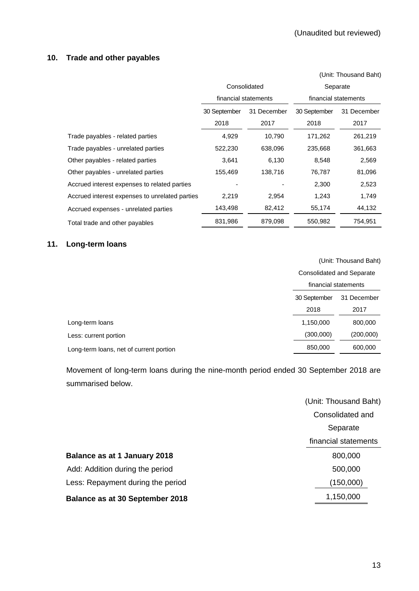# **10. Trade and other payables**

|                                                |              |                      |                      | (Unit: Thousand Baht) |  |  |
|------------------------------------------------|--------------|----------------------|----------------------|-----------------------|--|--|
|                                                |              | Consolidated         | Separate             |                       |  |  |
|                                                |              | financial statements | financial statements |                       |  |  |
|                                                | 30 September | 31 December          | 30 September         | 31 December           |  |  |
|                                                | 2018         | 2017                 | 2018                 | 2017                  |  |  |
| Trade payables - related parties               | 4,929        | 10,790               | 171,262              | 261,219               |  |  |
| Trade payables - unrelated parties             | 522,230      | 638,096              | 235,668              | 361,663               |  |  |
| Other payables - related parties               | 3,641        | 6,130                | 8,548                | 2,569                 |  |  |
| Other payables - unrelated parties             | 155,469      | 138,716              | 76,787               | 81,096                |  |  |
| Accrued interest expenses to related parties   |              |                      | 2,300                | 2,523                 |  |  |
| Accrued interest expenses to unrelated parties | 2,219        | 2,954                | 1,243                | 1,749                 |  |  |
| Accrued expenses - unrelated parties           | 143,498      | 82,412               | 55,174               | 44,132                |  |  |
| Total trade and other payables                 | 831,986      | 879,098              | 550,982              | 754,951               |  |  |

# **11. Long-term loans**

(Unit: Thousand Baht)

|                                         | <b>Consolidated and Separate</b><br>financial statements |             |  |  |
|-----------------------------------------|----------------------------------------------------------|-------------|--|--|
|                                         |                                                          |             |  |  |
|                                         | 30 September                                             | 31 December |  |  |
|                                         | 2018                                                     | 2017        |  |  |
| Long-term loans                         | 1,150,000                                                | 800,000     |  |  |
| Less: current portion                   | (300,000)                                                | (200,000)   |  |  |
| Long-term loans, net of current portion | 850,000                                                  | 600,000     |  |  |
|                                         |                                                          |             |  |  |

Movement of long-term loans during the nine-month period ended 30 September 2018 are summarised below.

|                                        | (Unit: Thousand Baht) |
|----------------------------------------|-----------------------|
|                                        | Consolidated and      |
|                                        | Separate              |
|                                        | financial statements  |
| Balance as at 1 January 2018           | 800,000               |
| Add: Addition during the period        | 500,000               |
| Less: Repayment during the period      | (150,000)             |
| <b>Balance as at 30 September 2018</b> | 1,150,000             |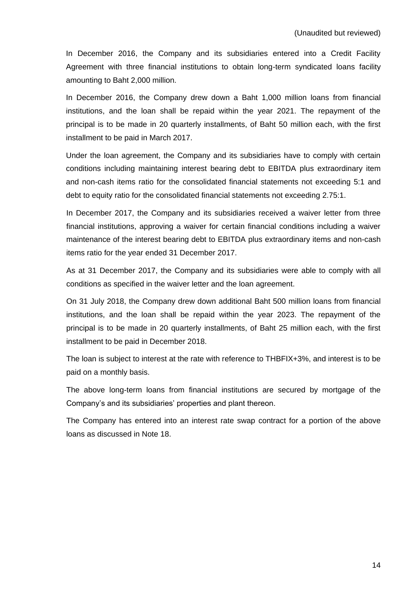In December 2016, the Company and its subsidiaries entered into a Credit Facility Agreement with three financial institutions to obtain long-term syndicated loans facility amounting to Baht 2,000 million.

In December 2016, the Company drew down a Baht 1,000 million loans from financial institutions, and the loan shall be repaid within the year 2021. The repayment of the principal is to be made in 20 quarterly installments, of Baht 50 million each, with the first installment to be paid in March 2017.

Under the loan agreement, the Company and its subsidiaries have to comply with certain conditions including maintaining interest bearing debt to EBITDA plus extraordinary item and non-cash items ratio for the consolidated financial statements not exceeding 5:1 and debt to equity ratio for the consolidated financial statements not exceeding 2.75:1.

In December 2017, the Company and its subsidiaries received a waiver letter from three financial institutions, approving a waiver for certain financial conditions including a waiver maintenance of the interest bearing debt to EBITDA plus extraordinary items and non-cash items ratio for the year ended 31 December 2017.

As at 31 December 2017, the Company and its subsidiaries were able to comply with all conditions as specified in the waiver letter and the loan agreement.

On 31 July 2018, the Company drew down additional Baht 500 million loans from financial institutions, and the loan shall be repaid within the year 2023. The repayment of the principal is to be made in 20 quarterly installments, of Baht 25 million each, with the first installment to be paid in December 2018.

The loan is subject to interest at the rate with reference to THBFIX+3%, and interest is to be paid on a monthly basis.

The above long-term loans from financial institutions are secured by mortgage of the Company's and its subsidiaries' properties and plant thereon.

The Company has entered into an interest rate swap contract for a portion of the above loans as discussed in Note 18.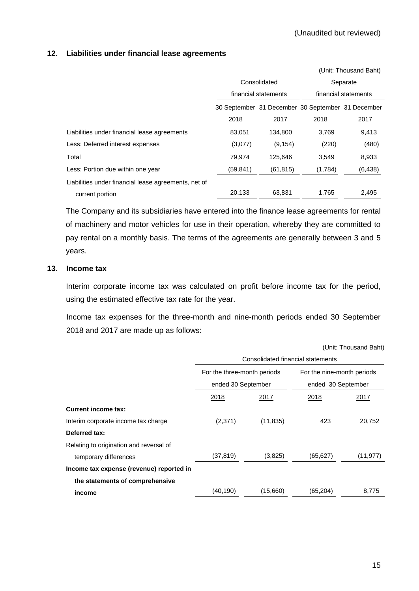## **12. Liabilities under financial lease agreements**

|                                                      |                                                   |                      |                      | (Unit: Thousand Baht) |  |
|------------------------------------------------------|---------------------------------------------------|----------------------|----------------------|-----------------------|--|
|                                                      |                                                   | Consolidated         |                      | Separate              |  |
|                                                      |                                                   | financial statements | financial statements |                       |  |
|                                                      | 30 September 31 December 30 September 31 December |                      |                      |                       |  |
|                                                      | 2018                                              | 2017                 | 2018                 | 2017                  |  |
| Liabilities under financial lease agreements         | 83,051                                            | 134,800              | 3,769                | 9,413                 |  |
| Less: Deferred interest expenses                     | (3,077)                                           | (9, 154)             | (220)                | (480)                 |  |
| Total                                                | 79.974                                            | 125.646              | 3.549                | 8,933                 |  |
| Less: Portion due within one year                    | (59, 841)                                         | (61, 815)            | (1,784)              | (6, 438)              |  |
| Liabilities under financial lease agreements, net of |                                                   |                      |                      |                       |  |
| current portion                                      | 20,133                                            | 63,831               | 1.765                | 2,495                 |  |

The Company and its subsidiaries have entered into the finance lease agreements for rental of machinery and motor vehicles for use in their operation, whereby they are committed to pay rental on a monthly basis. The terms of the agreements are generally between 3 and 5 years.

## **13. Income tax**

Interim corporate income tax was calculated on profit before income tax for the period, using the estimated effective tax rate for the year.

Income tax expenses for the three-month and nine-month periods ended 30 September 2018 and 2017 are made up as follows:

(Unit: Thousand Baht)

|                                          | Consolidated financial statements                 |           |                                                  |           |  |  |  |  |  |
|------------------------------------------|---------------------------------------------------|-----------|--------------------------------------------------|-----------|--|--|--|--|--|
|                                          | For the three-month periods<br>ended 30 September |           | For the nine-month periods<br>ended 30 September |           |  |  |  |  |  |
|                                          | 2018                                              | 2017      | 2018                                             | 2017      |  |  |  |  |  |
| <b>Current income tax:</b>               |                                                   |           |                                                  |           |  |  |  |  |  |
| Interim corporate income tax charge      | (2,371)                                           | (11, 835) | 423                                              | 20,752    |  |  |  |  |  |
| Deferred tax:                            |                                                   |           |                                                  |           |  |  |  |  |  |
| Relating to origination and reversal of  |                                                   |           |                                                  |           |  |  |  |  |  |
| temporary differences                    | (37, 819)                                         | (3,825)   | (65, 627)                                        | (11, 977) |  |  |  |  |  |
| Income tax expense (revenue) reported in |                                                   |           |                                                  |           |  |  |  |  |  |
| the statements of comprehensive          |                                                   |           |                                                  |           |  |  |  |  |  |
| income                                   | (40, 190)                                         | (15,660)  | (65, 204)                                        | 8,775     |  |  |  |  |  |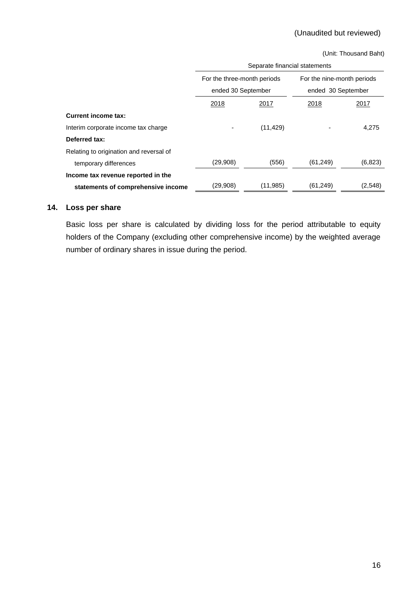(Unit: Thousand Baht)

|                                         | Separate financial statements |           |                                                  |         |  |  |  |  |  |
|-----------------------------------------|-------------------------------|-----------|--------------------------------------------------|---------|--|--|--|--|--|
|                                         | For the three-month periods   |           | For the nine-month periods<br>ended 30 September |         |  |  |  |  |  |
|                                         | ended 30 September            |           |                                                  |         |  |  |  |  |  |
|                                         | 2018                          | 2017      | 2018                                             | 2017    |  |  |  |  |  |
| <b>Current income tax:</b>              |                               |           |                                                  |         |  |  |  |  |  |
| Interim corporate income tax charge     |                               | (11, 429) |                                                  | 4,275   |  |  |  |  |  |
| Deferred tax:                           |                               |           |                                                  |         |  |  |  |  |  |
| Relating to origination and reversal of |                               |           |                                                  |         |  |  |  |  |  |
| temporary differences                   | (29,908)                      | (556)     | (61, 249)                                        | (6,823) |  |  |  |  |  |
| Income tax revenue reported in the      |                               |           |                                                  |         |  |  |  |  |  |
| statements of comprehensive income      | (29,908)                      | (11, 985) | (61, 249)                                        | (2,548) |  |  |  |  |  |

# **14. Loss per share**

Basic loss per share is calculated by dividing loss for the period attributable to equity holders of the Company (excluding other comprehensive income) by the weighted average number of ordinary shares in issue during the period.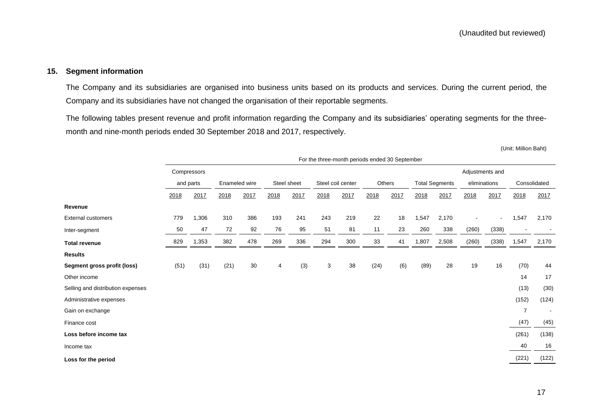#### **15. Segment information**

The Company and its subsidiaries are organised into business units based on its products and services. During the current period, the Company and its subsidiaries have not changed the organisation of their reportable segments.

The following tables present revenue and profit information regarding the Company and its subsidiaries' operating segments for the threemonth and nine-month periods ended 30 September 2018 and 2017, respectively.

(Unit: Million Baht)

|                                   | For the three-month periods ended 30 September |             |               |      |      |             |              |                   |      |        |       |                       |                 |                |                |       |
|-----------------------------------|------------------------------------------------|-------------|---------------|------|------|-------------|--------------|-------------------|------|--------|-------|-----------------------|-----------------|----------------|----------------|-------|
|                                   |                                                | Compressors |               |      |      |             |              |                   |      |        |       |                       | Adjustments and |                |                |       |
|                                   |                                                | and parts   | Enameled wire |      |      | Steel sheet |              | Steel coil center |      | Others |       | <b>Total Segments</b> | eliminations    |                | Consolidated   |       |
|                                   | 2018                                           | 2017        | 2018          | 2017 | 2018 | 2017        | 2018         | 2017              | 2018 | 2017   | 2018  | 2017                  | 2018            | 2017           | 2018           | 2017  |
| Revenue                           |                                                |             |               |      |      |             |              |                   |      |        |       |                       |                 |                |                |       |
| <b>External customers</b>         | 779                                            | 1,306       | 310           | 386  | 193  | 241         | 243          | 219               | 22   | 18     | 1,547 | 2,170                 |                 | $\blacksquare$ | 1,547          | 2,170 |
| Inter-segment                     | 50                                             | 47          | 72            | 92   | 76   | 95          | 51           | 81                | 11   | 23     | 260   | 338                   | (260)           | (338)          |                |       |
| <b>Total revenue</b>              | 829                                            | 1,353       | 382           | 478  | 269  | 336         | 294          | 300               | 33   | 41     | 1,807 | 2,508                 | (260)           | (338)          | 1,547          | 2,170 |
| <b>Results</b>                    |                                                |             |               |      |      |             |              |                   |      |        |       |                       |                 |                |                |       |
| Segment gross profit (loss)       | (51)                                           | (31)        | (21)          | 30   | 4    | (3)         | $\mathbf{3}$ | 38                | (24) | (6)    | (89)  | 28                    | 19              | 16             | (70)           | 44    |
| Other income                      |                                                |             |               |      |      |             |              |                   |      |        |       |                       |                 |                | 14             | 17    |
| Selling and distribution expenses |                                                |             |               |      |      |             |              |                   |      |        |       |                       |                 |                | (13)           | (30)  |
| Administrative expenses           |                                                |             |               |      |      |             |              |                   |      |        |       |                       |                 |                | (152)          | (124) |
| Gain on exchange                  |                                                |             |               |      |      |             |              |                   |      |        |       |                       |                 |                | $\overline{7}$ |       |
| Finance cost                      |                                                |             |               |      |      |             |              |                   |      |        |       |                       |                 |                | (47)           | (45)  |
| Loss before income tax            |                                                |             |               |      |      |             |              |                   |      |        |       |                       |                 |                | (261)          | (138) |
| Income tax                        |                                                |             |               |      |      |             |              |                   |      |        |       |                       |                 |                | 40             | 16    |
| Loss for the period               |                                                |             |               |      |      |             |              |                   |      |        |       |                       |                 |                | (221)          | (122) |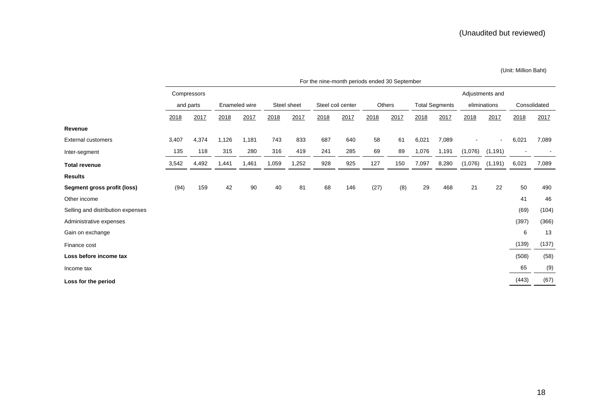(Unit: Million Baht)

|                                   | For the nine-month periods ended 30 September |             |               |       |             |       |                   |      |        |      |                       |       |                              |                              |              |        |
|-----------------------------------|-----------------------------------------------|-------------|---------------|-------|-------------|-------|-------------------|------|--------|------|-----------------------|-------|------------------------------|------------------------------|--------------|--------|
|                                   |                                               | Compressors |               |       |             |       |                   |      |        |      |                       |       |                              | Adjustments and              |              |        |
|                                   |                                               | and parts   | Enameled wire |       | Steel sheet |       | Steel coil center |      | Others |      | <b>Total Segments</b> |       | eliminations                 |                              | Consolidated |        |
|                                   | 2018                                          | 2017        | 2018          | 2017  | 2018        | 2017  | 2018              | 2017 | 2018   | 2017 | 2018                  | 2017  | 2018                         | 2017                         | 2018         | 2017   |
| Revenue                           |                                               |             |               |       |             |       |                   |      |        |      |                       |       |                              |                              |              |        |
| <b>External customers</b>         | 3,407                                         | 4,374       | 1,126         | 1,181 | 743         | 833   | 687               | 640  | 58     | 61   | 6,021                 | 7,089 | $\qquad \qquad \blacksquare$ | $\qquad \qquad \blacksquare$ | 6,021        | 7,089  |
| Inter-segment                     | 135                                           | 118         | 315           | 280   | 316         | 419   | 241               | 285  | 69     | 89   | 1,076                 | 1,191 | (1,076)                      | (1, 191)                     |              | $\sim$ |
| <b>Total revenue</b>              | 3,542                                         | 4,492       | 1,441         | 1,461 | 1,059       | 1,252 | 928               | 925  | 127    | 150  | 7,097                 | 8,280 | (1,076)                      | (1, 191)                     | 6,021        | 7,089  |
| <b>Results</b>                    |                                               |             |               |       |             |       |                   |      |        |      |                       |       |                              |                              |              |        |
| Segment gross profit (loss)       | (94)                                          | 159         | 42            | 90    | 40          | 81    | 68                | 146  | (27)   | (8)  | 29                    | 468   | 21                           | 22                           | 50           | 490    |
| Other income                      |                                               |             |               |       |             |       |                   |      |        |      |                       |       |                              |                              | 41           | 46     |
| Selling and distribution expenses |                                               |             |               |       |             |       |                   |      |        |      |                       |       |                              |                              | (69)         | (104)  |
| Administrative expenses           |                                               |             |               |       |             |       |                   |      |        |      |                       |       |                              |                              | (397)        | (366)  |
| Gain on exchange                  |                                               |             |               |       |             |       |                   |      |        |      |                       |       |                              |                              | 6            | 13     |
| Finance cost                      |                                               |             |               |       |             |       |                   |      |        |      |                       |       |                              |                              | (139)        | (137)  |
| Loss before income tax            |                                               |             |               |       |             |       |                   |      |        |      |                       |       |                              |                              | (508)        | (58)   |
| Income tax                        |                                               |             |               |       |             |       |                   |      |        |      |                       |       |                              |                              | 65           | (9)    |
| Loss for the period               |                                               |             |               |       |             |       |                   |      |        |      |                       |       |                              |                              | (443)        | (67)   |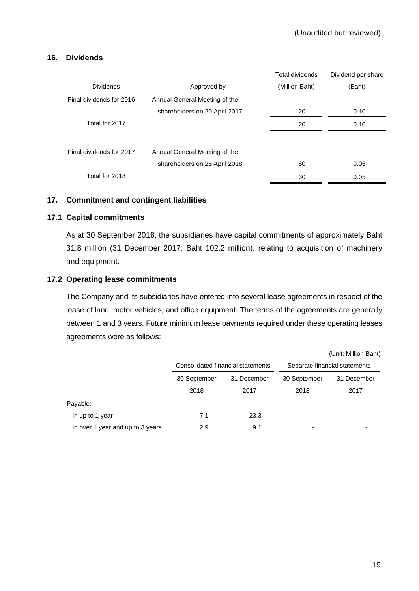## **16. Dividends**

|                          |                               | Total dividends | Dividend per share |
|--------------------------|-------------------------------|-----------------|--------------------|
| <b>Dividends</b>         | Approved by                   | (Million Baht)  | (Baht)             |
| Final dividends for 2016 | Annual General Meeting of the |                 |                    |
|                          | shareholders on 20 April 2017 | 120             | 0.10               |
| Total for 2017           |                               | 120             | 0.10               |
|                          |                               |                 |                    |
| Final dividends for 2017 | Annual General Meeting of the |                 |                    |
|                          | shareholders on 25 April 2018 | 60              | 0.05               |
| Total for 2018           |                               | 60              | 0.05               |

## **17. Commitment and contingent liabilities**

## **17.1 Capital commitments**

As at 30 September 2018, the subsidiaries have capital commitments of approximately Baht 31.8 million (31 December 2017: Baht 102.2 million), relating to acquisition of machinery and equipment.

## **17.2 Operating lease commitments**

The Company and its subsidiaries have entered into several lease agreements in respect of the lease of land, motor vehicles, and office equipment. The terms of the agreements are generally between 1 and 3 years. Future minimum lease payments required under these operating leases agreements were as follows:

|                                  |              |                                   |                               | (Unit: Million Bant) |  |  |
|----------------------------------|--------------|-----------------------------------|-------------------------------|----------------------|--|--|
|                                  |              | Consolidated financial statements | Separate financial statements |                      |  |  |
|                                  | 30 September | 31 December                       | 30 September                  | 31 December          |  |  |
|                                  | 2018         | 2017                              | 2018                          | 2017                 |  |  |
| Payable:                         |              |                                   |                               |                      |  |  |
| In up to 1 year                  | 7.1          | 23.3                              |                               |                      |  |  |
| In over 1 year and up to 3 years | 2.9          | 9.1                               |                               |                      |  |  |

 $(1, 1, 2, 3, 4, 1)$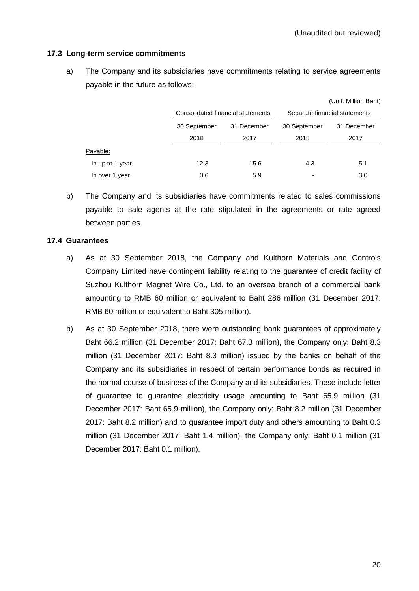## **17.3 Long-term service commitments**

a) The Company and its subsidiaries have commitments relating to service agreements payable in the future as follows:

|                 |              |                                   |                               | (Unit: Million Baht) |  |  |  |
|-----------------|--------------|-----------------------------------|-------------------------------|----------------------|--|--|--|
|                 |              | Consolidated financial statements | Separate financial statements |                      |  |  |  |
|                 | 30 September | 31 December                       | 30 September                  | 31 December          |  |  |  |
|                 | 2018         | 2017                              | 2018                          | 2017                 |  |  |  |
| Payable:        |              |                                   |                               |                      |  |  |  |
| In up to 1 year | 12.3         | 15.6                              | 4.3                           | 5.1                  |  |  |  |
| In over 1 year  | 0.6          | 5.9                               |                               | 3.0                  |  |  |  |

b) The Company and its subsidiaries have commitments related to sales commissions payable to sale agents at the rate stipulated in the agreements or rate agreed between parties.

## **17.4 Guarantees**

- a) As at 30 September 2018, the Company and Kulthorn Materials and Controls Company Limited have contingent liability relating to the guarantee of credit facility of Suzhou Kulthorn Magnet Wire Co., Ltd. to an oversea branch of a commercial bank amounting to RMB 60 million or equivalent to Baht 286 million (31 December 2017: RMB 60 million or equivalent to Baht 305 million).
- b) As at 30 September 2018, there were outstanding bank guarantees of approximately Baht 66.2 million (31 December 2017: Baht 67.3 million), the Company only: Baht 8.3 million (31 December 2017: Baht 8.3 million) issued by the banks on behalf of the Company and its subsidiaries in respect of certain performance bonds as required in the normal course of business of the Company and its subsidiaries. These include letter of guarantee to guarantee electricity usage amounting to Baht 65.9 million (31 December 2017: Baht 65.9 million), the Company only: Baht 8.2 million (31 December 2017: Baht 8.2 million) and to guarantee import duty and others amounting to Baht 0.3 million (31 December 2017: Baht 1.4 million), the Company only: Baht 0.1 million (31 December 2017: Baht 0.1 million).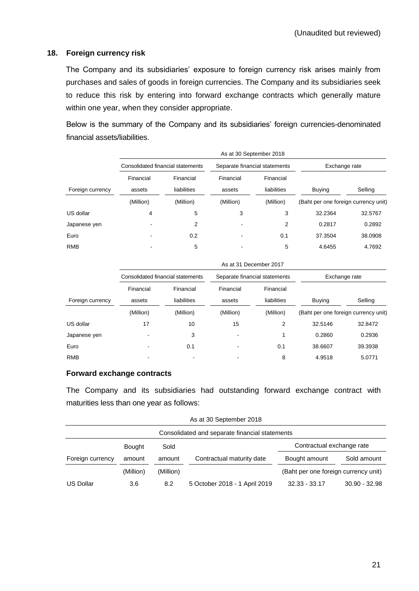## **18. Foreign currency risk**

The Company and its subsidiaries' exposure to foreign currency risk arises mainly from purchases and sales of goods in foreign currencies. The Company and its subsidiaries seek to reduce this risk by entering into forward exchange contracts which generally mature within one year, when they consider appropriate.

Below is the summary of the Company and its subsidiaries' foreign currencies-denominated financial assets/liabilities.

|                  | As at 30 September 2018 |                                   |                     |                               |                                      |         |  |  |  |  |  |
|------------------|-------------------------|-----------------------------------|---------------------|-------------------------------|--------------------------------------|---------|--|--|--|--|--|
|                  |                         | Consolidated financial statements |                     | Separate financial statements | Exchange rate                        |         |  |  |  |  |  |
| Foreign currency | Financial<br>assets     | Financial<br>liabilities          | Financial<br>assets | Financial<br>liabilities      | <b>Buying</b>                        | Selling |  |  |  |  |  |
|                  | (Million)               | (Million)                         | (Million)           | (Million)                     | (Baht per one foreign currency unit) |         |  |  |  |  |  |
| US dollar        | 4                       | 5                                 | 3                   | 3                             | 32.2364                              | 32.5767 |  |  |  |  |  |
| Japanese yen     |                         | 2                                 |                     | 2                             | 0.2817                               | 0.2892  |  |  |  |  |  |
| Euro             |                         | 0.2                               |                     | 0.1                           | 37.3504                              | 38.0908 |  |  |  |  |  |
| <b>RMB</b>       |                         | 5                                 |                     | 5                             | 4.6455                               | 4.7692  |  |  |  |  |  |

|                  | As at 31 December 2017            |                          |                               |                          |                                      |         |
|------------------|-----------------------------------|--------------------------|-------------------------------|--------------------------|--------------------------------------|---------|
|                  | Consolidated financial statements |                          | Separate financial statements |                          | Exchange rate                        |         |
| Foreign currency | Financial<br>assets               | Financial<br>liabilities | Financial<br>assets           | Financial<br>liabilities | <b>Buving</b>                        | Selling |
|                  | (Million)                         | (Million)                | (Million)                     | (Million)                | (Baht per one foreign currency unit) |         |
| US dollar        | 17                                | 10                       | 15                            | 2                        | 32.5146                              | 32.8472 |
| Japanese yen     |                                   | 3                        |                               | и                        | 0.2860                               | 0.2936  |
| Euro             |                                   | 0.1                      |                               | 0.1                      | 38.6607                              | 39.3938 |
| <b>RMB</b>       |                                   |                          |                               | 8                        | 4.9518                               | 5.0771  |

## **Forward exchange contracts**

The Company and its subsidiaries had outstanding forward exchange contract with maturities less than one year as follows:

| As at 30 September 2018                        |               |           |                               |                                      |                 |  |
|------------------------------------------------|---------------|-----------|-------------------------------|--------------------------------------|-----------------|--|
| Consolidated and separate financial statements |               |           |                               |                                      |                 |  |
|                                                | <b>Bought</b> | Sold      |                               | Contractual exchange rate            |                 |  |
| Foreign currency                               | amount        | amount    | Contractual maturity date     | Bought amount                        | Sold amount     |  |
|                                                | (Million)     | (Million) |                               | (Baht per one foreign currency unit) |                 |  |
| <b>US Dollar</b>                               | 3.6           | 8.2       | 5 October 2018 - 1 April 2019 | $32.33 - 33.17$                      | $30.90 - 32.98$ |  |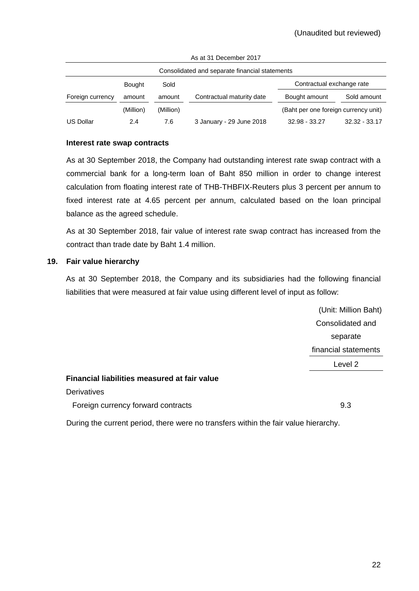| Consolidated and separate financial statements |               |           |                           |                                      |                 |  |
|------------------------------------------------|---------------|-----------|---------------------------|--------------------------------------|-----------------|--|
|                                                | <b>Bought</b> | Sold      |                           | Contractual exchange rate            |                 |  |
| Foreign currency                               | amount        | amount    | Contractual maturity date | Bought amount                        | Sold amount     |  |
|                                                | (Million)     | (Million) |                           | (Baht per one foreign currency unit) |                 |  |
| <b>US Dollar</b>                               | 2.4           | 7.6       | 3 January - 29 June 2018  | 32.98 - 33.27                        | $32.32 - 33.17$ |  |

As at 31 December 2017

#### **Interest rate swap contracts**

As at 30 September 2018, the Company had outstanding interest rate swap contract with a commercial bank for a long-term loan of Baht 850 million in order to change interest calculation from floating interest rate of THB-THBFIX-Reuters plus 3 percent per annum to fixed interest rate at 4.65 percent per annum, calculated based on the loan principal balance as the agreed schedule.

As at 30 September 2018, fair value of interest rate swap contract has increased from the contract than trade date by Baht 1.4 million.

#### **19. Fair value hierarchy**

As at 30 September 2018, the Company and its subsidiaries had the following financial liabilities that were measured at fair value using different level of input as follow:

> (Unit: Million Baht) Consolidated and separate financial statements Level 2

## **Financial liabilities measured at fair value**

**Derivatives** Foreign currency forward contracts 9.3

During the current period, there were no transfers within the fair value hierarchy.